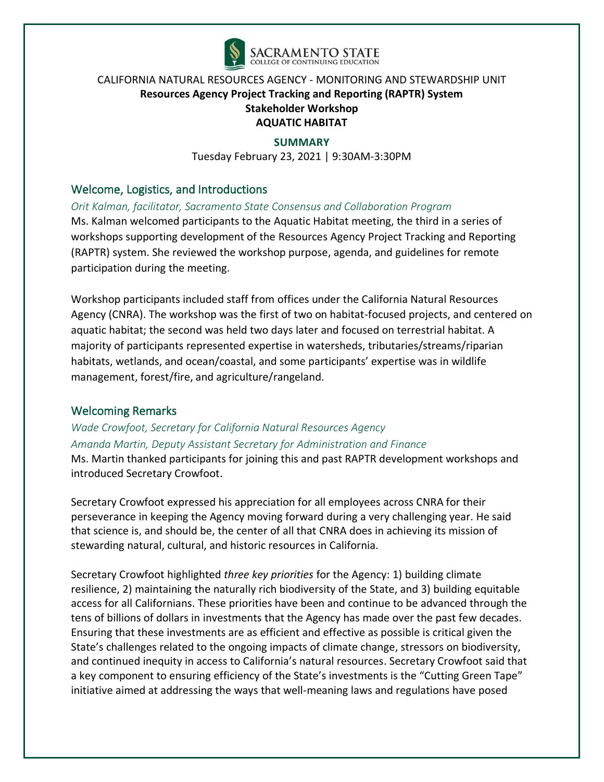

#### **SUMMARY**

Tuesday February 23, 2021 | 9:30AM-3:30PM

### Welcome, Logistics, and Introductions

*Orit Kalman, facilitator, Sacramento State Consensus and Collaboration Program*

Ms. Kalman welcomed participants to the Aquatic Habitat meeting, the third in a series of workshops supporting development of the Resources Agency Project Tracking and Reporting (RAPTR) system. She reviewed the workshop purpose, agenda, and guidelines for remote participation during the meeting.

Workshop participants included staff from offices under the California Natural Resources Agency (CNRA). The workshop was the first of two on habitat-focused projects, and centered on aquatic habitat; the second was held two days later and focused on terrestrial habitat. A majority of participants represented expertise in watersheds, tributaries/streams/riparian habitats, wetlands, and ocean/coastal, and some participants' expertise was in wildlife management, forest/fire, and agriculture/rangeland.

### Welcoming Remarks

# *Wade Crowfoot, Secretary for California Natural Resources Agency Amanda Martin, Deputy Assistant Secretary for Administration and Finance*

Ms. Martin thanked participants for joining this and past RAPTR development workshops and introduced Secretary Crowfoot.

Secretary Crowfoot expressed his appreciation for all employees across CNRA for their perseverance in keeping the Agency moving forward during a very challenging year. He said that science is, and should be, the center of all that CNRA does in achieving its mission of stewarding natural, cultural, and historic resources in California.

Secretary Crowfoot highlighted *three key priorities* for the Agency: 1) building climate resilience, 2) maintaining the naturally rich biodiversity of the State, and 3) building equitable access for all Californians. These priorities have been and continue to be advanced through the tens of billions of dollars in investments that the Agency has made over the past few decades. Ensuring that these investments are as efficient and effective as possible is critical given the State's challenges related to the ongoing impacts of climate change, stressors on biodiversity, and continued inequity in access to California's natural resources. Secretary Crowfoot said that a key component to ensuring efficiency of the State's investments is the "Cutting Green Tape" initiative aimed at addressing the ways that well-meaning laws and regulations have posed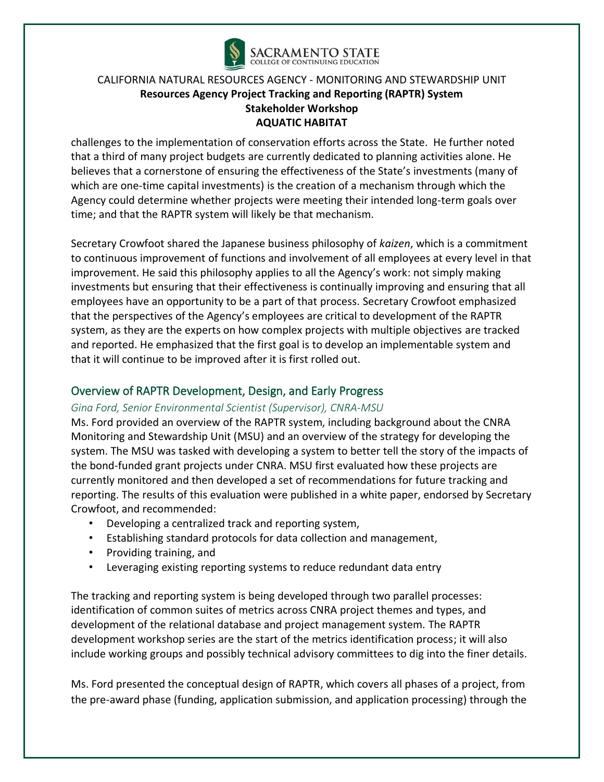

challenges to the implementation of conservation efforts across the State. He further noted that a third of many project budgets are currently dedicated to planning activities alone. He believes that a cornerstone of ensuring the effectiveness of the State's investments (many of which are one-time capital investments) is the creation of a mechanism through which the Agency could determine whether projects were meeting their intended long-term goals over time; and that the RAPTR system will likely be that mechanism.

Secretary Crowfoot shared the Japanese business philosophy of *kaizen*, which is a commitment to continuous improvement of functions and involvement of all employees at every level in that improvement. He said this philosophy applies to all the Agency's work: not simply making investments but ensuring that their effectiveness is continually improving and ensuring that all employees have an opportunity to be a part of that process. Secretary Crowfoot emphasized that the perspectives of the Agency's employees are critical to development of the RAPTR system, as they are the experts on how complex projects with multiple objectives are tracked and reported. He emphasized that the first goal is to develop an implementable system and that it will continue to be improved after it is first rolled out.

### Overview of RAPTR Development, Design, and Early Progress

#### *Gina Ford, Senior Environmental Scientist (Supervisor), CNRA-MSU*

Ms. Ford provided an overview of the RAPTR system, including background about the CNRA Monitoring and Stewardship Unit (MSU) and an overview of the strategy for developing the system. The MSU was tasked with developing a system to better tell the story of the impacts of the bond-funded grant projects under CNRA. MSU first evaluated how these projects are currently monitored and then developed a set of recommendations for future tracking and reporting. The results of this evaluation were published in a white paper, endorsed by Secretary Crowfoot, and recommended:

- Developing a centralized track and reporting system,
- Establishing standard protocols for data collection and management,
- Providing training, and
- Leveraging existing reporting systems to reduce redundant data entry

The tracking and reporting system is being developed through two parallel processes: identification of common suites of metrics across CNRA project themes and types, and development of the relational database and project management system. The RAPTR development workshop series are the start of the metrics identification process; it will also include working groups and possibly technical advisory committees to dig into the finer details.

Ms. Ford presented the conceptual design of RAPTR, which covers all phases of a project, from the pre-award phase (funding, application submission, and application processing) through the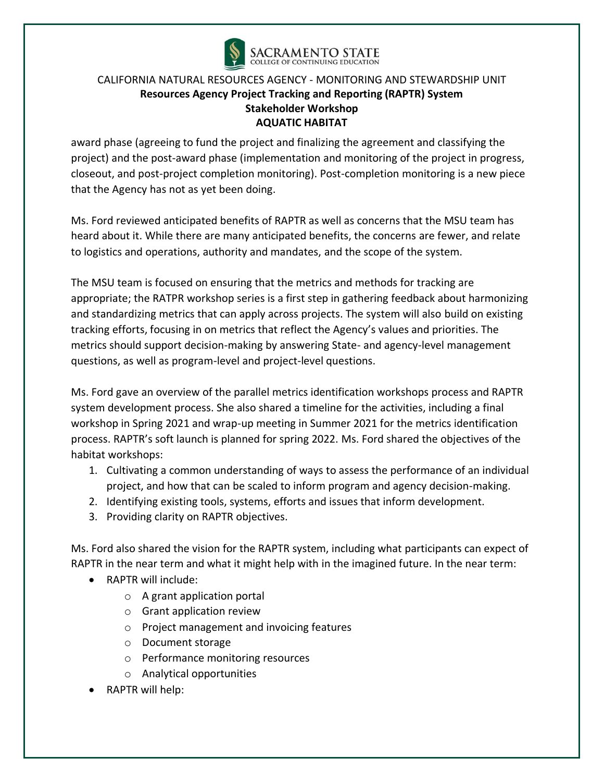

award phase (agreeing to fund the project and finalizing the agreement and classifying the project) and the post-award phase (implementation and monitoring of the project in progress, closeout, and post-project completion monitoring). Post-completion monitoring is a new piece that the Agency has not as yet been doing.

Ms. Ford reviewed anticipated benefits of RAPTR as well as concerns that the MSU team has heard about it. While there are many anticipated benefits, the concerns are fewer, and relate to logistics and operations, authority and mandates, and the scope of the system.

The MSU team is focused on ensuring that the metrics and methods for tracking are appropriate; the RATPR workshop series is a first step in gathering feedback about harmonizing and standardizing metrics that can apply across projects. The system will also build on existing tracking efforts, focusing in on metrics that reflect the Agency's values and priorities. The metrics should support decision-making by answering State- and agency-level management questions, as well as program-level and project-level questions.

Ms. Ford gave an overview of the parallel metrics identification workshops process and RAPTR system development process. She also shared a timeline for the activities, including a final workshop in Spring 2021 and wrap-up meeting in Summer 2021 for the metrics identification process. RAPTR's soft launch is planned for spring 2022. Ms. Ford shared the objectives of the habitat workshops:

- 1. Cultivating a common understanding of ways to assess the performance of an individual project, and how that can be scaled to inform program and agency decision-making.
- 2. Identifying existing tools, systems, efforts and issues that inform development.
- 3. Providing clarity on RAPTR objectives.

Ms. Ford also shared the vision for the RAPTR system, including what participants can expect of RAPTR in the near term and what it might help with in the imagined future. In the near term:

- RAPTR will include:
	- o A grant application portal
	- o Grant application review
	- o Project management and invoicing features
	- o Document storage
	- o Performance monitoring resources
	- o Analytical opportunities
- RAPTR will help: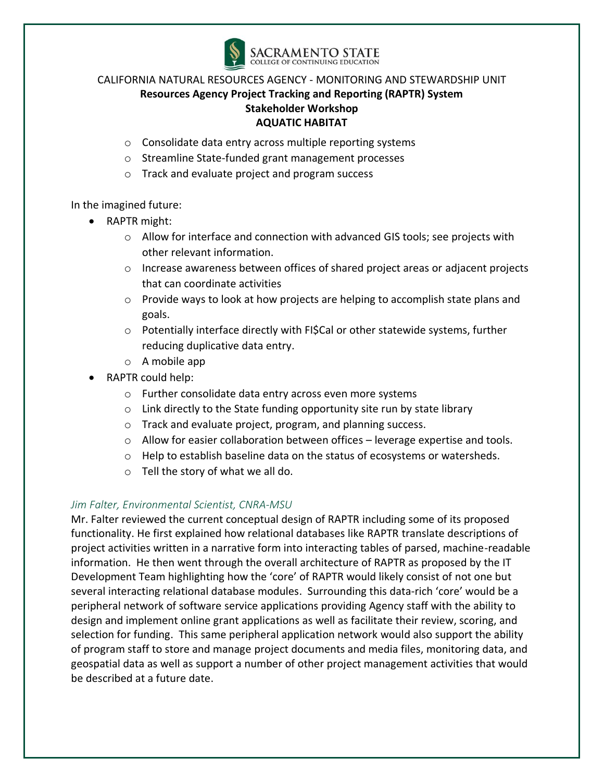

- o Consolidate data entry across multiple reporting systems
- o Streamline State-funded grant management processes
- o Track and evaluate project and program success

In the imagined future:

- RAPTR might:
	- $\circ$  Allow for interface and connection with advanced GIS tools; see projects with other relevant information.
	- $\circ$  Increase awareness between offices of shared project areas or adjacent projects that can coordinate activities
	- $\circ$  Provide ways to look at how projects are helping to accomplish state plans and goals.
	- $\circ$  Potentially interface directly with FI\$Cal or other statewide systems, further reducing duplicative data entry.
	- o A mobile app
- RAPTR could help:
	- o Further consolidate data entry across even more systems
	- $\circ$  Link directly to the State funding opportunity site run by state library
	- o Track and evaluate project, program, and planning success.
	- $\circ$  Allow for easier collaboration between offices leverage expertise and tools.
	- o Help to establish baseline data on the status of ecosystems or watersheds.
	- o Tell the story of what we all do.

#### *Jim Falter, Environmental Scientist, CNRA-MSU*

Mr. Falter reviewed the current conceptual design of RAPTR including some of its proposed functionality. He first explained how relational databases like RAPTR translate descriptions of project activities written in a narrative form into interacting tables of parsed, machine-readable information. He then went through the overall architecture of RAPTR as proposed by the IT Development Team highlighting how the 'core' of RAPTR would likely consist of not one but several interacting relational database modules. Surrounding this data-rich 'core' would be a peripheral network of software service applications providing Agency staff with the ability to design and implement online grant applications as well as facilitate their review, scoring, and selection for funding. This same peripheral application network would also support the ability of program staff to store and manage project documents and media files, monitoring data, and geospatial data as well as support a number of other project management activities that would be described at a future date.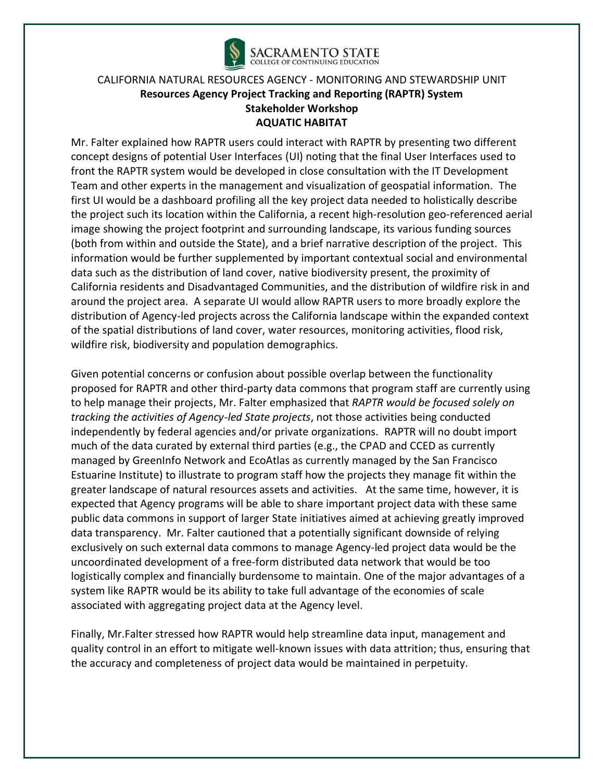

Mr. Falter explained how RAPTR users could interact with RAPTR by presenting two different concept designs of potential User Interfaces (UI) noting that the final User Interfaces used to front the RAPTR system would be developed in close consultation with the IT Development Team and other experts in the management and visualization of geospatial information. The first UI would be a dashboard profiling all the key project data needed to holistically describe the project such its location within the California, a recent high-resolution geo-referenced aerial image showing the project footprint and surrounding landscape, its various funding sources (both from within and outside the State), and a brief narrative description of the project. This information would be further supplemented by important contextual social and environmental data such as the distribution of land cover, native biodiversity present, the proximity of California residents and Disadvantaged Communities, and the distribution of wildfire risk in and around the project area. A separate UI would allow RAPTR users to more broadly explore the distribution of Agency-led projects across the California landscape within the expanded context of the spatial distributions of land cover, water resources, monitoring activities, flood risk, wildfire risk, biodiversity and population demographics.

Given potential concerns or confusion about possible overlap between the functionality proposed for RAPTR and other third-party data commons that program staff are currently using to help manage their projects, Mr. Falter emphasized that *RAPTR would be focused solely on tracking the activities of Agency-led State projects*, not those activities being conducted independently by federal agencies and/or private organizations. RAPTR will no doubt import much of the data curated by external third parties (e.g., the CPAD and CCED as currently managed by GreenInfo Network and EcoAtlas as currently managed by the San Francisco Estuarine Institute) to illustrate to program staff how the projects they manage fit within the greater landscape of natural resources assets and activities. At the same time, however, it is expected that Agency programs will be able to share important project data with these same public data commons in support of larger State initiatives aimed at achieving greatly improved data transparency. Mr. Falter cautioned that a potentially significant downside of relying exclusively on such external data commons to manage Agency-led project data would be the uncoordinated development of a free-form distributed data network that would be too logistically complex and financially burdensome to maintain. One of the major advantages of a system like RAPTR would be its ability to take full advantage of the economies of scale associated with aggregating project data at the Agency level.

Finally, Mr.Falter stressed how RAPTR would help streamline data input, management and quality control in an effort to mitigate well-known issues with data attrition; thus, ensuring that the accuracy and completeness of project data would be maintained in perpetuity.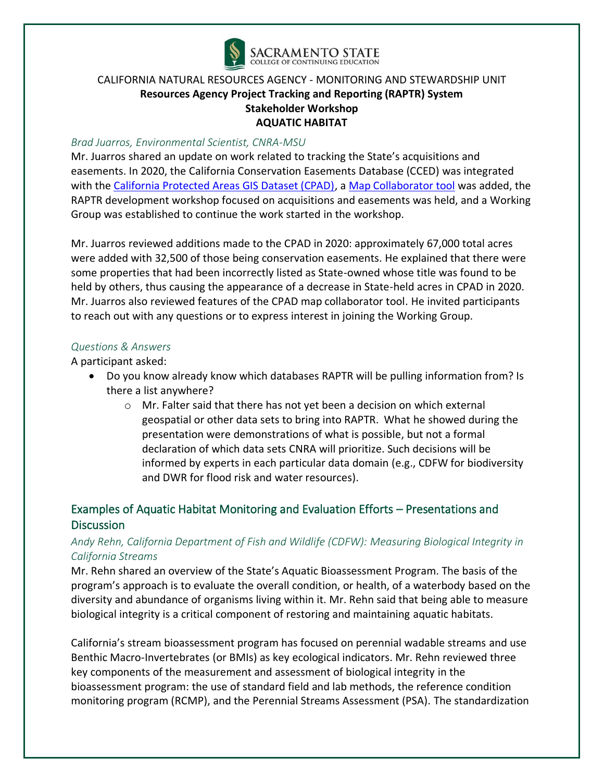

#### *Brad Juarros, Environmental Scientist, CNRA-MSU*

Mr. Juarros shared an update on work related to tracking the State's acquisitions and easements. In 2020, the California Conservation Easements Database (CCED) was integrated with the [California Protected Areas GIS Dataset \(CPAD\),](https://www.arcgis.com/home/webmap/viewer.html?webmap=df37a48a7b6f4a00862f2fd0a1d8aaff) a [Map Collaborator tool](http://www.mapcollaborator.org/cpad/?base=map&y=38.16857&x=-122.13844&z=10&layers=mapcollab_cpadng_cpad_access%2Ccced&opacs=50%2C100) was added, the RAPTR development workshop focused on acquisitions and easements was held, and a Working Group was established to continue the work started in the workshop.

Mr. Juarros reviewed additions made to the CPAD in 2020: approximately 67,000 total acres were added with 32,500 of those being conservation easements. He explained that there were some properties that had been incorrectly listed as State-owned whose title was found to be held by others, thus causing the appearance of a decrease in State-held acres in CPAD in 2020. Mr. Juarros also reviewed features of the CPAD map collaborator tool. He invited participants to reach out with any questions or to express interest in joining the Working Group.

#### *Questions & Answers*

A participant asked:

- Do you know already know which databases RAPTR will be pulling information from? Is there a list anywhere?
	- o Mr. Falter said that there has not yet been a decision on which external geospatial or other data sets to bring into RAPTR. What he showed during the presentation were demonstrations of what is possible, but not a formal declaration of which data sets CNRA will prioritize. Such decisions will be informed by experts in each particular data domain (e.g., CDFW for biodiversity and DWR for flood risk and water resources).

# Examples of Aquatic Habitat Monitoring and Evaluation Efforts – Presentations and **Discussion**

# *Andy Rehn, California Department of Fish and Wildlife (CDFW): Measuring Biological Integrity in California Streams*

Mr. Rehn shared an overview of the State's Aquatic Bioassessment Program. The basis of the program's approach is to evaluate the overall condition, or health, of a waterbody based on the diversity and abundance of organisms living within it. Mr. Rehn said that being able to measure biological integrity is a critical component of restoring and maintaining aquatic habitats.

California's stream bioassessment program has focused on perennial wadable streams and use Benthic Macro-Invertebrates (or BMIs) as key ecological indicators. Mr. Rehn reviewed three key components of the measurement and assessment of biological integrity in the bioassessment program: the use of standard field and lab methods, the reference condition monitoring program (RCMP), and the Perennial Streams Assessment (PSA). The standardization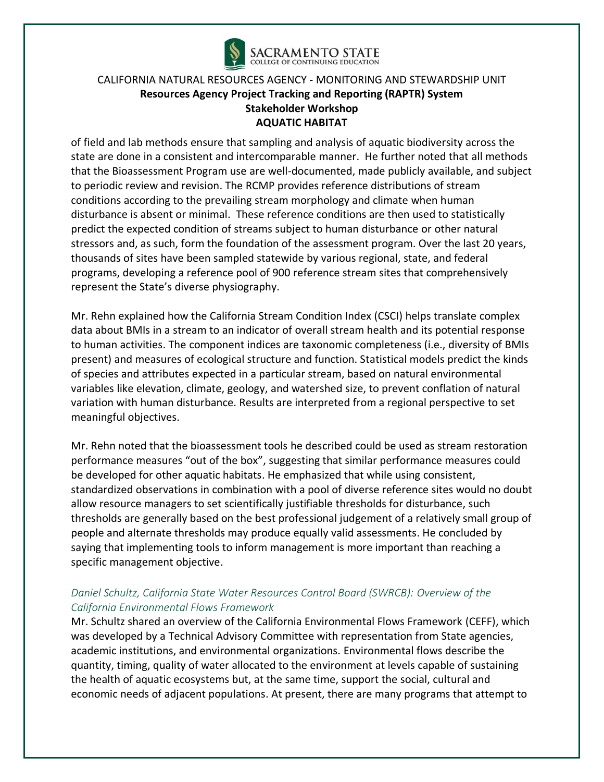

of field and lab methods ensure that sampling and analysis of aquatic biodiversity across the state are done in a consistent and intercomparable manner. He further noted that all methods that the Bioassessment Program use are well-documented, made publicly available, and subject to periodic review and revision. The RCMP provides reference distributions of stream conditions according to the prevailing stream morphology and climate when human disturbance is absent or minimal. These reference conditions are then used to statistically predict the expected condition of streams subject to human disturbance or other natural stressors and, as such, form the foundation of the assessment program. Over the last 20 years, thousands of sites have been sampled statewide by various regional, state, and federal programs, developing a reference pool of 900 reference stream sites that comprehensively represent the State's diverse physiography.

Mr. Rehn explained how the California Stream Condition Index (CSCI) helps translate complex data about BMIs in a stream to an indicator of overall stream health and its potential response to human activities. The component indices are taxonomic completeness (i.e., diversity of BMIs present) and measures of ecological structure and function. Statistical models predict the kinds of species and attributes expected in a particular stream, based on natural environmental variables like elevation, climate, geology, and watershed size, to prevent conflation of natural variation with human disturbance. Results are interpreted from a regional perspective to set meaningful objectives.

Mr. Rehn noted that the bioassessment tools he described could be used as stream restoration performance measures "out of the box", suggesting that similar performance measures could be developed for other aquatic habitats. He emphasized that while using consistent, standardized observations in combination with a pool of diverse reference sites would no doubt allow resource managers to set scientifically justifiable thresholds for disturbance, such thresholds are generally based on the best professional judgement of a relatively small group of people and alternate thresholds may produce equally valid assessments. He concluded by saying that implementing tools to inform management is more important than reaching a specific management objective.

# *Daniel Schultz, California State Water Resources Control Board (SWRCB): Overview of the California Environmental Flows Framework*

Mr. Schultz shared an overview of the California Environmental Flows Framework (CEFF), which was developed by a Technical Advisory Committee with representation from State agencies, academic institutions, and environmental organizations. Environmental flows describe the quantity, timing, quality of water allocated to the environment at levels capable of sustaining the health of aquatic ecosystems but, at the same time, support the social, cultural and economic needs of adjacent populations. At present, there are many programs that attempt to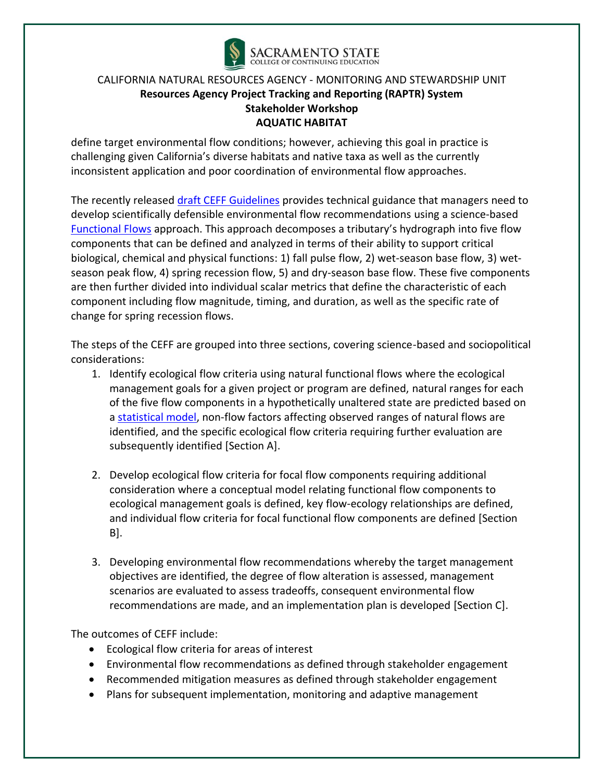

define target environmental flow conditions; however, achieving this goal in practice is challenging given California's diverse habitats and native taxa as well as the currently inconsistent application and poor coordination of environmental flow approaches.

The recently released [draft CEFF Guidelines](https://ceff.ucdavis.edu/) provides technical guidance that managers need to develop scientifically defensible environmental flow recommendations using a science-based [Functional Flows](https://ceff.ucdavis.edu/functional-flows-approach) approach. This approach decomposes a tributary's hydrograph into five flow components that can be defined and analyzed in terms of their ability to support critical biological, chemical and physical functions: 1) fall pulse flow, 2) wet-season base flow, 3) wetseason peak flow, 4) spring recession flow, 5) and dry-season base flow. These five components are then further divided into individual scalar metrics that define the characteristic of each component including flow magnitude, timing, and duration, as well as the specific rate of change for spring recession flows.

The steps of the CEFF are grouped into three sections, covering science-based and sociopolitical considerations:

- 1. Identify ecological flow criteria using natural functional flows where the ecological management goals for a given project or program are defined, natural ranges for each of the five flow components in a hypothetically unaltered state are predicted based on a [statistical model,](https://rivers.codefornature.org/) non-flow factors affecting observed ranges of natural flows are identified, and the specific ecological flow criteria requiring further evaluation are subsequently identified [Section A].
- 2. Develop ecological flow criteria for focal flow components requiring additional consideration where a conceptual model relating functional flow components to ecological management goals is defined, key flow-ecology relationships are defined, and individual flow criteria for focal functional flow components are defined [Section B].
- 3. Developing environmental flow recommendations whereby the target management objectives are identified, the degree of flow alteration is assessed, management scenarios are evaluated to assess tradeoffs, consequent environmental flow recommendations are made, and an implementation plan is developed [Section C].

The outcomes of CEFF include:

- Ecological flow criteria for areas of interest
- Environmental flow recommendations as defined through stakeholder engagement
- Recommended mitigation measures as defined through stakeholder engagement
- Plans for subsequent implementation, monitoring and adaptive management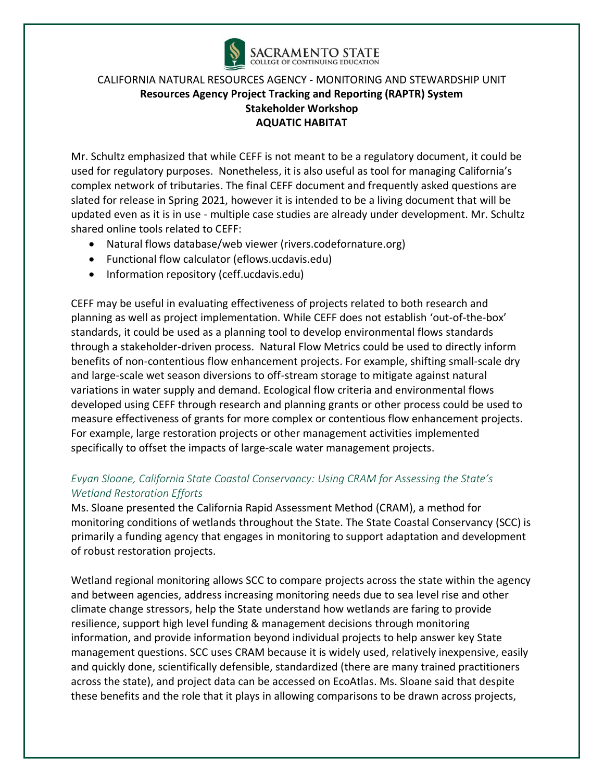

Mr. Schultz emphasized that while CEFF is not meant to be a regulatory document, it could be used for regulatory purposes. Nonetheless, it is also useful as tool for managing California's complex network of tributaries. The final CEFF document and frequently asked questions are slated for release in Spring 2021, however it is intended to be a living document that will be updated even as it is in use - multiple case studies are already under development. Mr. Schultz shared online tools related to CEFF:

- Natural flows database/web viewer (rivers.codefornature.org)
- Functional flow calculator (eflows.ucdavis.edu)
- Information repository (ceff.ucdavis.edu)

CEFF may be useful in evaluating effectiveness of projects related to both research and planning as well as project implementation. While CEFF does not establish 'out-of-the-box' standards, it could be used as a planning tool to develop environmental flows standards through a stakeholder-driven process. Natural Flow Metrics could be used to directly inform benefits of non-contentious flow enhancement projects. For example, shifting small-scale dry and large-scale wet season diversions to off-stream storage to mitigate against natural variations in water supply and demand. Ecological flow criteria and environmental flows developed using CEFF through research and planning grants or other process could be used to measure effectiveness of grants for more complex or contentious flow enhancement projects. For example, large restoration projects or other management activities implemented specifically to offset the impacts of large-scale water management projects.

### *Evyan Sloane, California State Coastal Conservancy: Using CRAM for Assessing the State's Wetland Restoration Efforts*

Ms. Sloane presented the California Rapid Assessment Method (CRAM), a method for monitoring conditions of wetlands throughout the State. The State Coastal Conservancy (SCC) is primarily a funding agency that engages in monitoring to support adaptation and development of robust restoration projects.

Wetland regional monitoring allows SCC to compare projects across the state within the agency and between agencies, address increasing monitoring needs due to sea level rise and other climate change stressors, help the State understand how wetlands are faring to provide resilience, support high level funding & management decisions through monitoring information, and provide information beyond individual projects to help answer key State management questions. SCC uses CRAM because it is widely used, relatively inexpensive, easily and quickly done, scientifically defensible, standardized (there are many trained practitioners across the state), and project data can be accessed on EcoAtlas. Ms. Sloane said that despite these benefits and the role that it plays in allowing comparisons to be drawn across projects,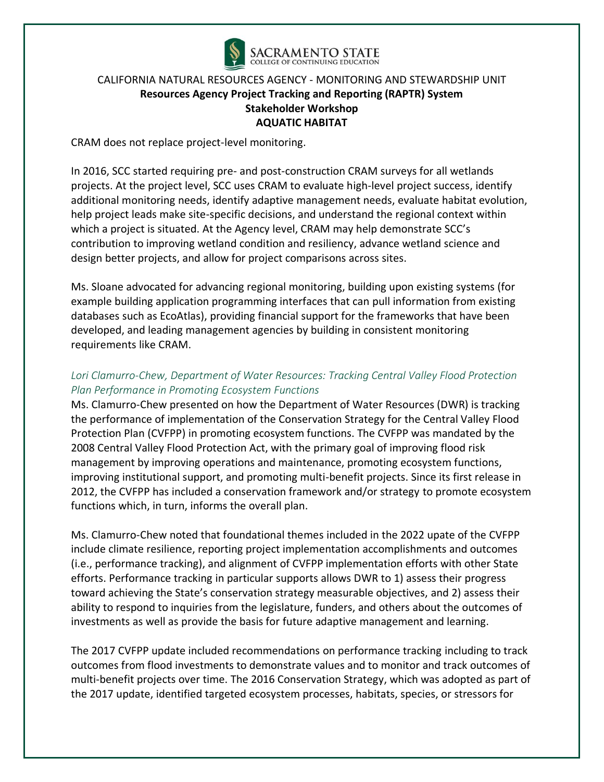

CRAM does not replace project-level monitoring.

In 2016, SCC started requiring pre- and post-construction CRAM surveys for all wetlands projects. At the project level, SCC uses CRAM to evaluate high-level project success, identify additional monitoring needs, identify adaptive management needs, evaluate habitat evolution, help project leads make site-specific decisions, and understand the regional context within which a project is situated. At the Agency level, CRAM may help demonstrate SCC's contribution to improving wetland condition and resiliency, advance wetland science and design better projects, and allow for project comparisons across sites.

Ms. Sloane advocated for advancing regional monitoring, building upon existing systems (for example building application programming interfaces that can pull information from existing databases such as EcoAtlas), providing financial support for the frameworks that have been developed, and leading management agencies by building in consistent monitoring requirements like CRAM.

## *Lori Clamurro-Chew, Department of Water Resources: Tracking Central Valley Flood Protection Plan Performance in Promoting Ecosystem Functions*

Ms. Clamurro-Chew presented on how the Department of Water Resources (DWR) is tracking the performance of implementation of the Conservation Strategy for the Central Valley Flood Protection Plan (CVFPP) in promoting ecosystem functions. The CVFPP was mandated by the 2008 Central Valley Flood Protection Act, with the primary goal of improving flood risk management by improving operations and maintenance, promoting ecosystem functions, improving institutional support, and promoting multi-benefit projects. Since its first release in 2012, the CVFPP has included a conservation framework and/or strategy to promote ecosystem functions which, in turn, informs the overall plan.

Ms. Clamurro-Chew noted that foundational themes included in the 2022 upate of the CVFPP include climate resilience, reporting project implementation accomplishments and outcomes (i.e., performance tracking), and alignment of CVFPP implementation efforts with other State efforts. Performance tracking in particular supports allows DWR to 1) assess their progress toward achieving the State's conservation strategy measurable objectives, and 2) assess their ability to respond to inquiries from the legislature, funders, and others about the outcomes of investments as well as provide the basis for future adaptive management and learning.

The 2017 CVFPP update included recommendations on performance tracking including to track outcomes from flood investments to demonstrate values and to monitor and track outcomes of multi-benefit projects over time. The 2016 Conservation Strategy, which was adopted as part of the 2017 update, identified targeted ecosystem processes, habitats, species, or stressors for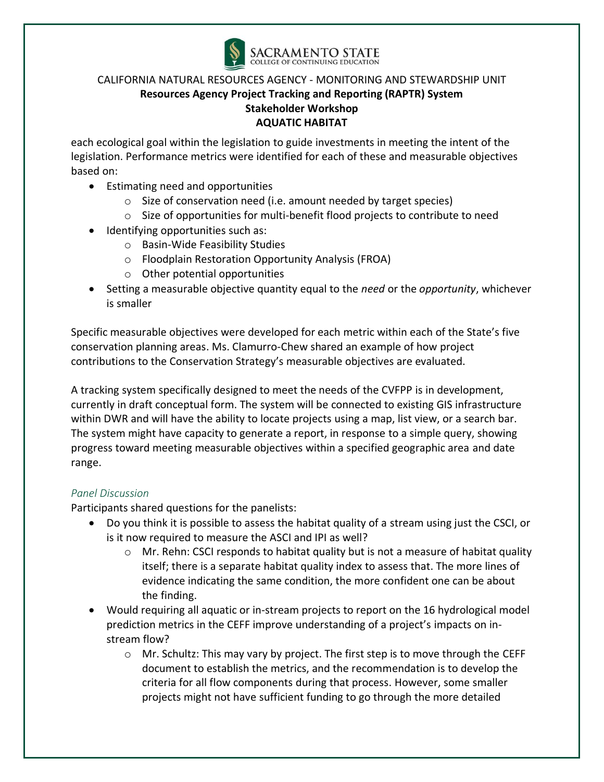

each ecological goal within the legislation to guide investments in meeting the intent of the legislation. Performance metrics were identified for each of these and measurable objectives based on:

- Estimating need and opportunities
	- o Size of conservation need (i.e. amount needed by target species)
	- $\circ$  Size of opportunities for multi-benefit flood projects to contribute to need
- Identifying opportunities such as:
	- o Basin-Wide Feasibility Studies
	- o Floodplain Restoration Opportunity Analysis (FROA)
	- o Other potential opportunities
- Setting a measurable objective quantity equal to the *need* or the *opportunity*, whichever is smaller

Specific measurable objectives were developed for each metric within each of the State's five conservation planning areas. Ms. Clamurro-Chew shared an example of how project contributions to the Conservation Strategy's measurable objectives are evaluated.

A tracking system specifically designed to meet the needs of the CVFPP is in development, currently in draft conceptual form. The system will be connected to existing GIS infrastructure within DWR and will have the ability to locate projects using a map, list view, or a search bar. The system might have capacity to generate a report, in response to a simple query, showing progress toward meeting measurable objectives within a specified geographic area and date range.

### *Panel Discussion*

Participants shared questions for the panelists:

- Do you think it is possible to assess the habitat quality of a stream using just the CSCI, or is it now required to measure the ASCI and IPI as well?
	- $\circ$  Mr. Rehn: CSCI responds to habitat quality but is not a measure of habitat quality itself; there is a separate habitat quality index to assess that. The more lines of evidence indicating the same condition, the more confident one can be about the finding.
- Would requiring all aquatic or in-stream projects to report on the 16 hydrological model prediction metrics in the CEFF improve understanding of a project's impacts on instream flow?
	- $\circ$  Mr. Schultz: This may vary by project. The first step is to move through the CEFF document to establish the metrics, and the recommendation is to develop the criteria for all flow components during that process. However, some smaller projects might not have sufficient funding to go through the more detailed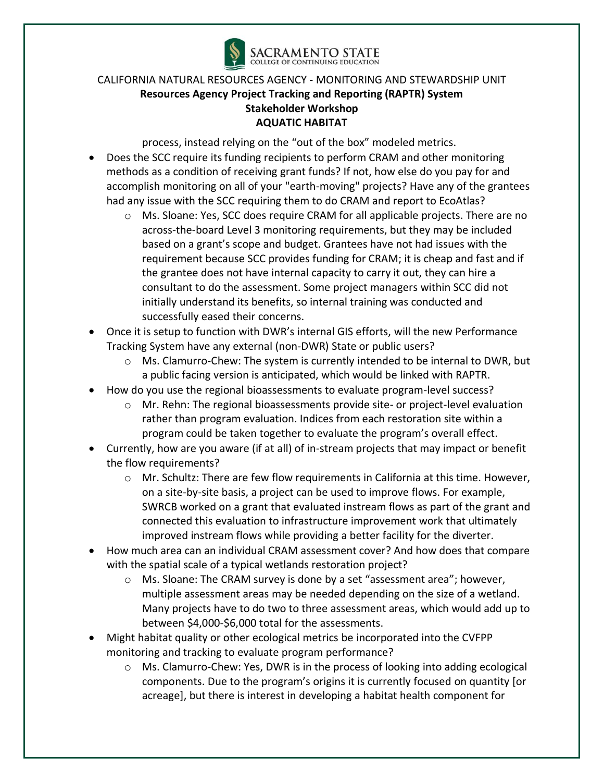

process, instead relying on the "out of the box" modeled metrics.

- Does the SCC require its funding recipients to perform CRAM and other monitoring methods as a condition of receiving grant funds? If not, how else do you pay for and accomplish monitoring on all of your "earth-moving" projects? Have any of the grantees had any issue with the SCC requiring them to do CRAM and report to EcoAtlas?
	- o Ms. Sloane: Yes, SCC does require CRAM for all applicable projects. There are no across-the-board Level 3 monitoring requirements, but they may be included based on a grant's scope and budget. Grantees have not had issues with the requirement because SCC provides funding for CRAM; it is cheap and fast and if the grantee does not have internal capacity to carry it out, they can hire a consultant to do the assessment. Some project managers within SCC did not initially understand its benefits, so internal training was conducted and successfully eased their concerns.
- Once it is setup to function with DWR's internal GIS efforts, will the new Performance Tracking System have any external (non-DWR) State or public users?
	- $\circ$  Ms. Clamurro-Chew: The system is currently intended to be internal to DWR, but a public facing version is anticipated, which would be linked with RAPTR.
- How do you use the regional bioassessments to evaluate program-level success?
	- o Mr. Rehn: The regional bioassessments provide site- or project-level evaluation rather than program evaluation. Indices from each restoration site within a program could be taken together to evaluate the program's overall effect.
- Currently, how are you aware (if at all) of in-stream projects that may impact or benefit the flow requirements?
	- o Mr. Schultz: There are few flow requirements in California at this time. However, on a site-by-site basis, a project can be used to improve flows. For example, SWRCB worked on a grant that evaluated instream flows as part of the grant and connected this evaluation to infrastructure improvement work that ultimately improved instream flows while providing a better facility for the diverter.
- How much area can an individual CRAM assessment cover? And how does that compare with the spatial scale of a typical wetlands restoration project?
	- o Ms. Sloane: The CRAM survey is done by a set "assessment area"; however, multiple assessment areas may be needed depending on the size of a wetland. Many projects have to do two to three assessment areas, which would add up to between \$4,000-\$6,000 total for the assessments.
- Might habitat quality or other ecological metrics be incorporated into the CVFPP monitoring and tracking to evaluate program performance?
	- o Ms. Clamurro-Chew: Yes, DWR is in the process of looking into adding ecological components. Due to the program's origins it is currently focused on quantity [or acreage], but there is interest in developing a habitat health component for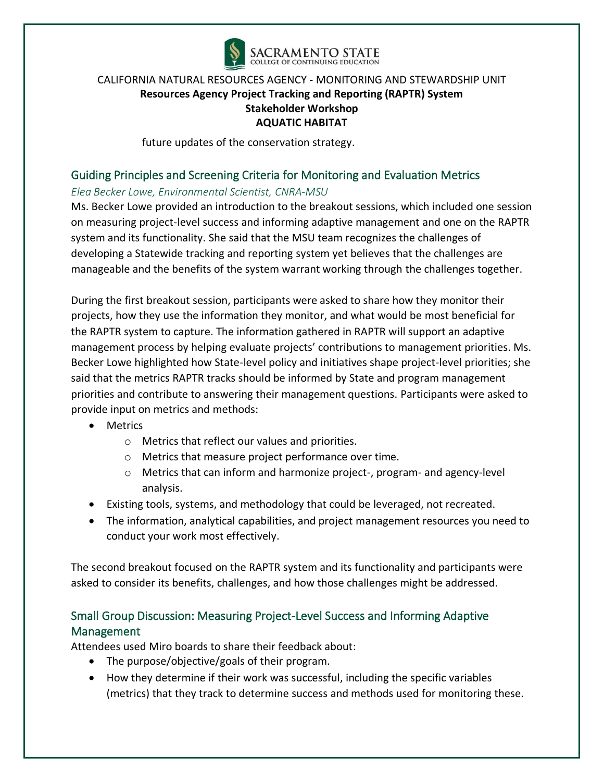

future updates of the conservation strategy.

# Guiding Principles and Screening Criteria for Monitoring and Evaluation Metrics

### *Elea Becker Lowe, Environmental Scientist, CNRA-MSU*

Ms. Becker Lowe provided an introduction to the breakout sessions, which included one session on measuring project-level success and informing adaptive management and one on the RAPTR system and its functionality. She said that the MSU team recognizes the challenges of developing a Statewide tracking and reporting system yet believes that the challenges are manageable and the benefits of the system warrant working through the challenges together.

During the first breakout session, participants were asked to share how they monitor their projects, how they use the information they monitor, and what would be most beneficial for the RAPTR system to capture. The information gathered in RAPTR will support an adaptive management process by helping evaluate projects' contributions to management priorities. Ms. Becker Lowe highlighted how State-level policy and initiatives shape project-level priorities; she said that the metrics RAPTR tracks should be informed by State and program management priorities and contribute to answering their management questions. Participants were asked to provide input on metrics and methods:

- Metrics
	- o Metrics that reflect our values and priorities.
	- o Metrics that measure project performance over time.
	- o Metrics that can inform and harmonize project-, program- and agency-level analysis.
- Existing tools, systems, and methodology that could be leveraged, not recreated.
- The information, analytical capabilities, and project management resources you need to conduct your work most effectively.

The second breakout focused on the RAPTR system and its functionality and participants were asked to consider its benefits, challenges, and how those challenges might be addressed.

# Small Group Discussion: Measuring Project-Level Success and Informing Adaptive Management

Attendees used Miro boards to share their feedback about:

- The purpose/objective/goals of their program.
- How they determine if their work was successful, including the specific variables (metrics) that they track to determine success and methods used for monitoring these.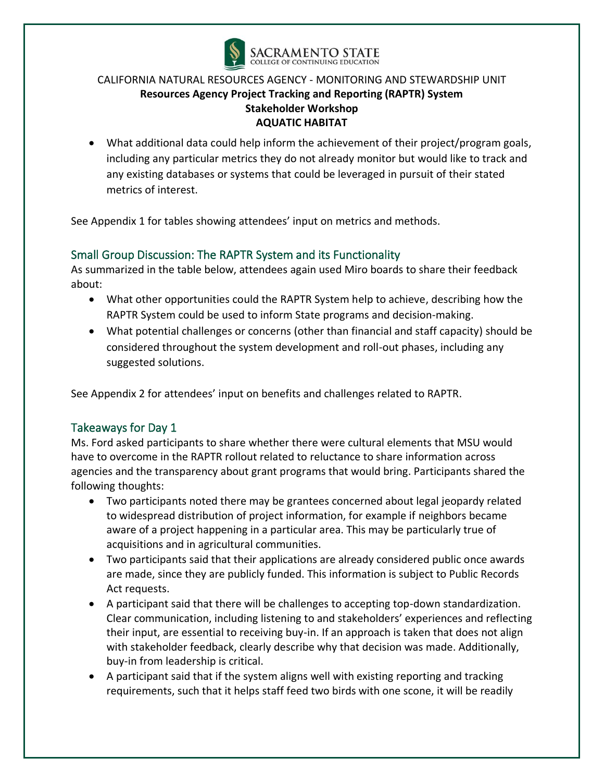

• What additional data could help inform the achievement of their project/program goals, including any particular metrics they do not already monitor but would like to track and any existing databases or systems that could be leveraged in pursuit of their stated metrics of interest.

See Appendix 1 for tables showing attendees' input on metrics and methods.

# Small Group Discussion: The RAPTR System and its Functionality

As summarized in the table below, attendees again used Miro boards to share their feedback about:

- What other opportunities could the RAPTR System help to achieve, describing how the RAPTR System could be used to inform State programs and decision-making.
- What potential challenges or concerns (other than financial and staff capacity) should be considered throughout the system development and roll-out phases, including any suggested solutions.

See Appendix 2 for attendees' input on benefits and challenges related to RAPTR.

# Takeaways for Day 1

Ms. Ford asked participants to share whether there were cultural elements that MSU would have to overcome in the RAPTR rollout related to reluctance to share information across agencies and the transparency about grant programs that would bring. Participants shared the following thoughts:

- Two participants noted there may be grantees concerned about legal jeopardy related to widespread distribution of project information, for example if neighbors became aware of a project happening in a particular area. This may be particularly true of acquisitions and in agricultural communities.
- Two participants said that their applications are already considered public once awards are made, since they are publicly funded. This information is subject to Public Records Act requests.
- A participant said that there will be challenges to accepting top-down standardization. Clear communication, including listening to and stakeholders' experiences and reflecting their input, are essential to receiving buy-in. If an approach is taken that does not align with stakeholder feedback, clearly describe why that decision was made. Additionally, buy-in from leadership is critical.
- A participant said that if the system aligns well with existing reporting and tracking requirements, such that it helps staff feed two birds with one scone, it will be readily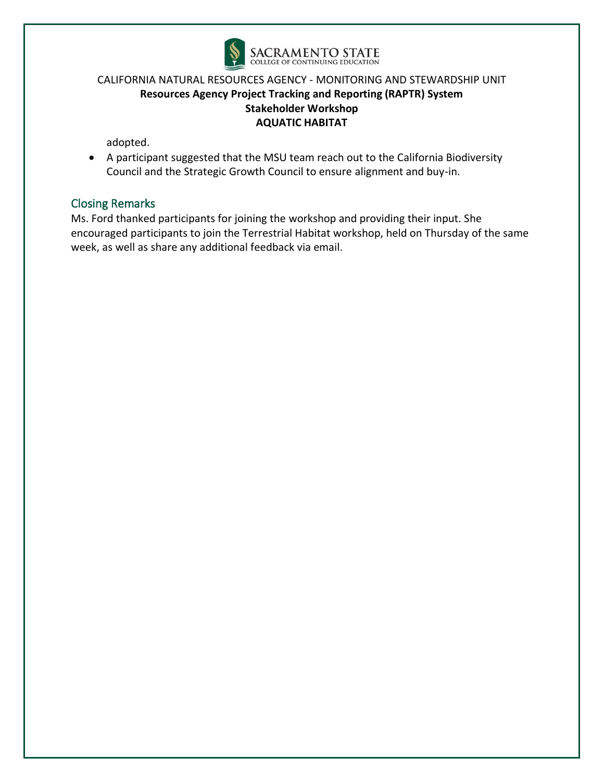

adopted.

• A participant suggested that the MSU team reach out to the California Biodiversity Council and the Strategic Growth Council to ensure alignment and buy-in.

# Closing Remarks

Ms. Ford thanked participants for joining the workshop and providing their input. She encouraged participants to join the Terrestrial Habitat workshop, held on Thursday of the same week, as well as share any additional feedback via email.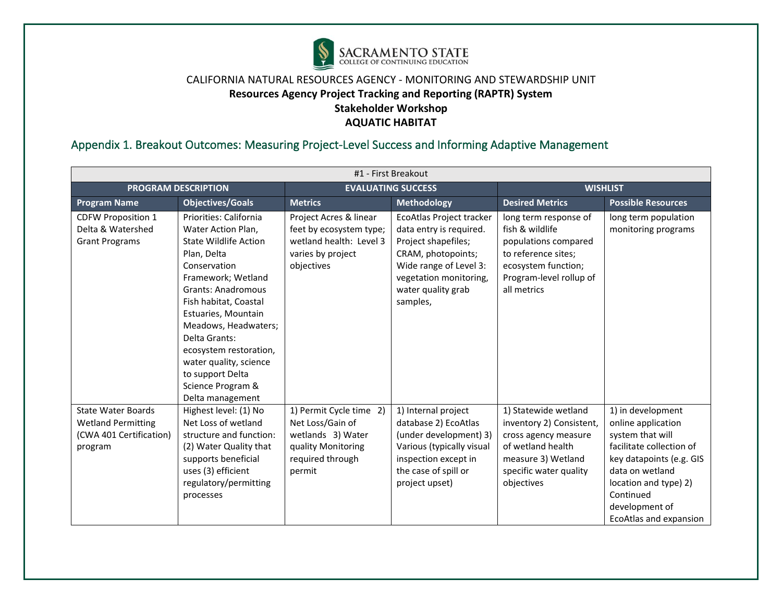

# Appendix 1. Breakout Outcomes: Measuring Project-Level Success and Informing Adaptive Management

| #1 - First Breakout                                                                          |                                                                                                                                                                                                                                                                                                                                                                          |                                                                                                                      |                                                                                                                                                                                        |                                                                                                                                                             |                                                                                                                                                                                                                          |  |  |
|----------------------------------------------------------------------------------------------|--------------------------------------------------------------------------------------------------------------------------------------------------------------------------------------------------------------------------------------------------------------------------------------------------------------------------------------------------------------------------|----------------------------------------------------------------------------------------------------------------------|----------------------------------------------------------------------------------------------------------------------------------------------------------------------------------------|-------------------------------------------------------------------------------------------------------------------------------------------------------------|--------------------------------------------------------------------------------------------------------------------------------------------------------------------------------------------------------------------------|--|--|
|                                                                                              | <b>PROGRAM DESCRIPTION</b>                                                                                                                                                                                                                                                                                                                                               | <b>EVALUATING SUCCESS</b>                                                                                            |                                                                                                                                                                                        | <b>WISHLIST</b>                                                                                                                                             |                                                                                                                                                                                                                          |  |  |
| <b>Program Name</b>                                                                          | <b>Objectives/Goals</b>                                                                                                                                                                                                                                                                                                                                                  | <b>Metrics</b>                                                                                                       | <b>Methodology</b>                                                                                                                                                                     | <b>Desired Metrics</b>                                                                                                                                      | <b>Possible Resources</b>                                                                                                                                                                                                |  |  |
| <b>CDFW Proposition 1</b><br>Delta & Watershed<br><b>Grant Programs</b>                      | Priorities: California<br>Water Action Plan,<br><b>State Wildlife Action</b><br>Plan, Delta<br>Conservation<br>Framework; Wetland<br><b>Grants: Anadromous</b><br>Fish habitat, Coastal<br>Estuaries, Mountain<br>Meadows, Headwaters;<br>Delta Grants:<br>ecosystem restoration,<br>water quality, science<br>to support Delta<br>Science Program &<br>Delta management | Project Acres & linear<br>feet by ecosystem type;<br>wetland health: Level 3<br>varies by project<br>objectives      | EcoAtlas Project tracker<br>data entry is required.<br>Project shapefiles;<br>CRAM, photopoints;<br>Wide range of Level 3:<br>vegetation monitoring,<br>water quality grab<br>samples, | long term response of<br>fish & wildlife<br>populations compared<br>to reference sites;<br>ecosystem function;<br>Program-level rollup of<br>all metrics    | long term population<br>monitoring programs                                                                                                                                                                              |  |  |
| <b>State Water Boards</b><br><b>Wetland Permitting</b><br>(CWA 401 Certification)<br>program | Highest level: (1) No<br>Net Loss of wetland<br>structure and function:<br>(2) Water Quality that<br>supports beneficial<br>uses (3) efficient<br>regulatory/permitting<br>processes                                                                                                                                                                                     | 1) Permit Cycle time 2)<br>Net Loss/Gain of<br>wetlands 3) Water<br>quality Monitoring<br>required through<br>permit | 1) Internal project<br>database 2) EcoAtlas<br>(under development) 3)<br>Various (typically visual<br>inspection except in<br>the case of spill or<br>project upset)                   | 1) Statewide wetland<br>inventory 2) Consistent,<br>cross agency measure<br>of wetland health<br>measure 3) Wetland<br>specific water quality<br>objectives | 1) in development<br>online application<br>system that will<br>facilitate collection of<br>key datapoints (e.g. GIS<br>data on wetland<br>location and type) 2)<br>Continued<br>development of<br>EcoAtlas and expansion |  |  |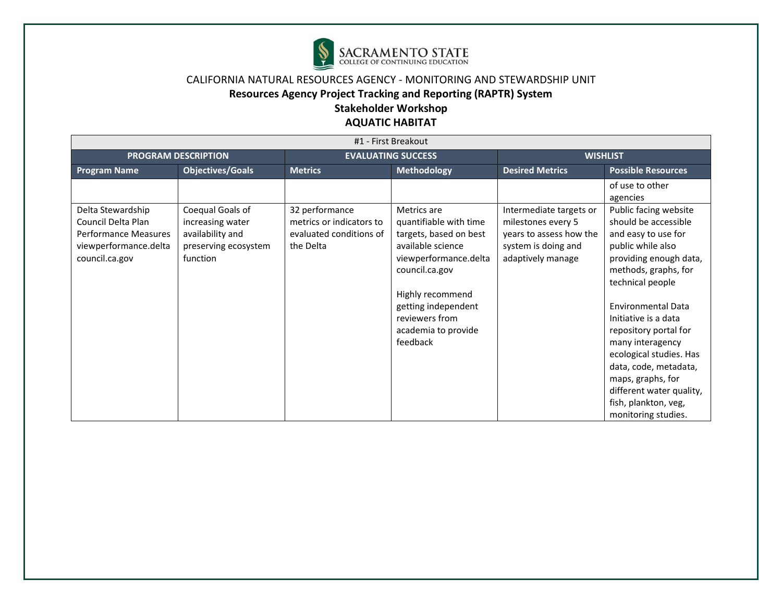

# **Resources Agency Project Tracking and Reporting (RAPTR) System**

**Stakeholder Workshop** 

| #1 - First Breakout                                                                                               |                                                                                              |                                                                                    |                                                                                                                                                                            |                                                                                                                      |                                                                                                                                                                                                                             |  |  |
|-------------------------------------------------------------------------------------------------------------------|----------------------------------------------------------------------------------------------|------------------------------------------------------------------------------------|----------------------------------------------------------------------------------------------------------------------------------------------------------------------------|----------------------------------------------------------------------------------------------------------------------|-----------------------------------------------------------------------------------------------------------------------------------------------------------------------------------------------------------------------------|--|--|
| <b>PROGRAM DESCRIPTION</b>                                                                                        |                                                                                              |                                                                                    | <b>EVALUATING SUCCESS</b>                                                                                                                                                  |                                                                                                                      | <b>WISHLIST</b>                                                                                                                                                                                                             |  |  |
| <b>Program Name</b>                                                                                               | <b>Objectives/Goals</b>                                                                      | <b>Metrics</b>                                                                     | Methodology                                                                                                                                                                | <b>Desired Metrics</b>                                                                                               | <b>Possible Resources</b>                                                                                                                                                                                                   |  |  |
| Delta Stewardship<br>Council Delta Plan<br><b>Performance Measures</b><br>viewperformance.delta<br>council.ca.gov | Coequal Goals of<br>increasing water<br>availability and<br>preserving ecosystem<br>function | 32 performance<br>metrics or indicators to<br>evaluated conditions of<br>the Delta | Metrics are<br>quantifiable with time<br>targets, based on best<br>available science<br>viewperformance.delta<br>council.ca.gov<br>Highly recommend<br>getting independent | Intermediate targets or<br>milestones every 5<br>years to assess how the<br>system is doing and<br>adaptively manage | of use to other<br>agencies<br>Public facing website<br>should be accessible<br>and easy to use for<br>public while also<br>providing enough data,<br>methods, graphs, for<br>technical people<br><b>Environmental Data</b> |  |  |
|                                                                                                                   |                                                                                              |                                                                                    | reviewers from<br>academia to provide<br>feedback                                                                                                                          |                                                                                                                      | Initiative is a data<br>repository portal for<br>many interagency<br>ecological studies. Has<br>data, code, metadata,<br>maps, graphs, for<br>different water quality,<br>fish, plankton, veg,<br>monitoring studies.       |  |  |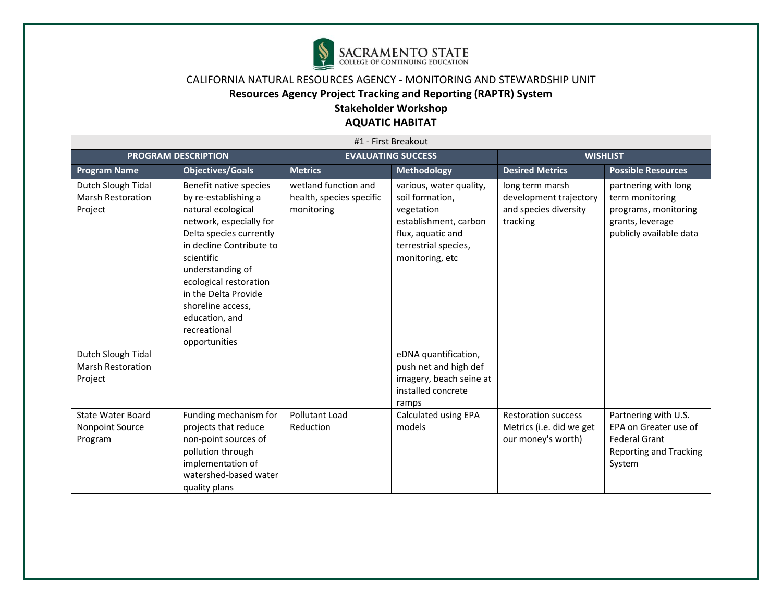

# **Resources Agency Project Tracking and Reporting (RAPTR) System**

# **Stakeholder Workshop**

| #1 - First Breakout                                       |                                                                                                                                                                                                                                                                                                                    |                                                                |                                                                                                                                                   |                                                                                |                                                                                                                  |  |  |
|-----------------------------------------------------------|--------------------------------------------------------------------------------------------------------------------------------------------------------------------------------------------------------------------------------------------------------------------------------------------------------------------|----------------------------------------------------------------|---------------------------------------------------------------------------------------------------------------------------------------------------|--------------------------------------------------------------------------------|------------------------------------------------------------------------------------------------------------------|--|--|
|                                                           | <b>PROGRAM DESCRIPTION</b>                                                                                                                                                                                                                                                                                         |                                                                | <b>EVALUATING SUCCESS</b>                                                                                                                         | <b>WISHLIST</b>                                                                |                                                                                                                  |  |  |
| <b>Program Name</b>                                       | <b>Objectives/Goals</b>                                                                                                                                                                                                                                                                                            | <b>Metrics</b>                                                 | <b>Methodology</b>                                                                                                                                | <b>Desired Metrics</b>                                                         | <b>Possible Resources</b>                                                                                        |  |  |
| Dutch Slough Tidal<br><b>Marsh Restoration</b><br>Project | Benefit native species<br>by re-establishing a<br>natural ecological<br>network, especially for<br>Delta species currently<br>in decline Contribute to<br>scientific<br>understanding of<br>ecological restoration<br>in the Delta Provide<br>shoreline access,<br>education, and<br>recreational<br>opportunities | wetland function and<br>health, species specific<br>monitoring | various, water quality,<br>soil formation.<br>vegetation<br>establishment, carbon<br>flux, aquatic and<br>terrestrial species,<br>monitoring, etc | long term marsh<br>development trajectory<br>and species diversity<br>tracking | partnering with long<br>term monitoring<br>programs, monitoring<br>grants, leverage<br>publicly available data   |  |  |
| Dutch Slough Tidal<br><b>Marsh Restoration</b><br>Project |                                                                                                                                                                                                                                                                                                                    |                                                                | eDNA quantification,<br>push net and high def<br>imagery, beach seine at<br>installed concrete<br>ramps                                           |                                                                                |                                                                                                                  |  |  |
| <b>State Water Board</b><br>Nonpoint Source<br>Program    | Funding mechanism for<br>projects that reduce<br>non-point sources of<br>pollution through<br>implementation of<br>watershed-based water<br>quality plans                                                                                                                                                          | Pollutant Load<br>Reduction                                    | Calculated using EPA<br>models                                                                                                                    | <b>Restoration success</b><br>Metrics (i.e. did we get<br>our money's worth)   | Partnering with U.S.<br>EPA on Greater use of<br><b>Federal Grant</b><br><b>Reporting and Tracking</b><br>System |  |  |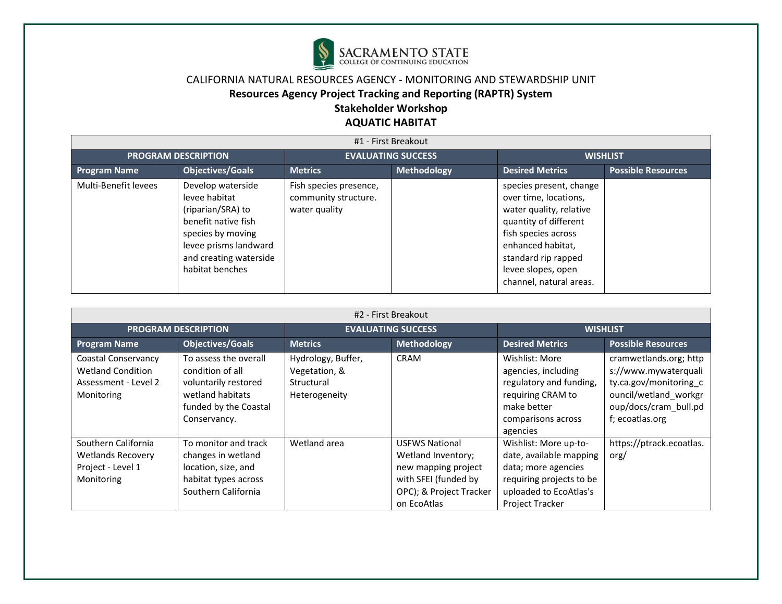

# **Resources Agency Project Tracking and Reporting (RAPTR) System**

# **Stakeholder Workshop**

| #1 - First Breakout        |                                                                                                                                                                           |                                                                 |                           |                                                                                                                                                                                                                          |                           |  |  |  |
|----------------------------|---------------------------------------------------------------------------------------------------------------------------------------------------------------------------|-----------------------------------------------------------------|---------------------------|--------------------------------------------------------------------------------------------------------------------------------------------------------------------------------------------------------------------------|---------------------------|--|--|--|
| <b>PROGRAM DESCRIPTION</b> |                                                                                                                                                                           |                                                                 | <b>EVALUATING SUCCESS</b> | <b>WISHLIST</b>                                                                                                                                                                                                          |                           |  |  |  |
| <b>Program Name</b>        | <b>Objectives/Goals</b>                                                                                                                                                   | <b>Metrics</b>                                                  | Methodology               | <b>Desired Metrics</b>                                                                                                                                                                                                   | <b>Possible Resources</b> |  |  |  |
| Multi-Benefit levees       | Develop waterside<br>levee habitat<br>(riparian/SRA) to<br>benefit native fish<br>species by moving<br>levee prisms landward<br>and creating waterside<br>habitat benches | Fish species presence,<br>community structure.<br>water quality |                           | species present, change<br>over time, locations,<br>water quality, relative<br>quantity of different<br>fish species across<br>enhanced habitat,<br>standard rip rapped<br>levee slopes, open<br>channel, natural areas. |                           |  |  |  |

| #2 - First Breakout                                                                   |                                                                                                                                |                                                                    |                                                                                                                                      |                                                                                                                                                         |                                                                                                                                               |  |  |
|---------------------------------------------------------------------------------------|--------------------------------------------------------------------------------------------------------------------------------|--------------------------------------------------------------------|--------------------------------------------------------------------------------------------------------------------------------------|---------------------------------------------------------------------------------------------------------------------------------------------------------|-----------------------------------------------------------------------------------------------------------------------------------------------|--|--|
|                                                                                       | <b>PROGRAM DESCRIPTION</b>                                                                                                     |                                                                    | <b>EVALUATING SUCCESS</b>                                                                                                            | <b>WISHLIST</b>                                                                                                                                         |                                                                                                                                               |  |  |
| <b>Program Name</b>                                                                   | Objectives/Goals                                                                                                               | <b>Metrics</b>                                                     | <b>Methodology</b>                                                                                                                   | <b>Desired Metrics</b>                                                                                                                                  | <b>Possible Resources</b>                                                                                                                     |  |  |
| Coastal Conservancy<br><b>Wetland Condition</b><br>Assessment - Level 2<br>Monitoring | To assess the overall<br>condition of all<br>voluntarily restored<br>wetland habitats<br>funded by the Coastal<br>Conservancy. | Hydrology, Buffer,<br>Vegetation, &<br>Structural<br>Heterogeneity | <b>CRAM</b>                                                                                                                          | Wishlist: More<br>agencies, including<br>regulatory and funding,<br>requiring CRAM to<br>make better<br>comparisons across<br>agencies                  | cramwetlands.org; http<br>s://www.mywaterquali<br>ty.ca.gov/monitoring c<br>ouncil/wetland workgr<br>oup/docs/cram_bull.pd<br>f; ecoatlas.org |  |  |
| Southern California<br><b>Wetlands Recovery</b><br>Project - Level 1<br>Monitoring    | To monitor and track<br>changes in wetland<br>location, size, and<br>habitat types across<br>Southern California               | Wetland area                                                       | <b>USFWS National</b><br>Wetland Inventory;<br>new mapping project<br>with SFEI (funded by<br>OPC); & Project Tracker<br>on EcoAtlas | Wishlist: More up-to-<br>date, available mapping<br>data; more agencies<br>requiring projects to be<br>uploaded to EcoAtlas's<br><b>Project Tracker</b> | https://ptrack.ecoatlas.<br>org/                                                                                                              |  |  |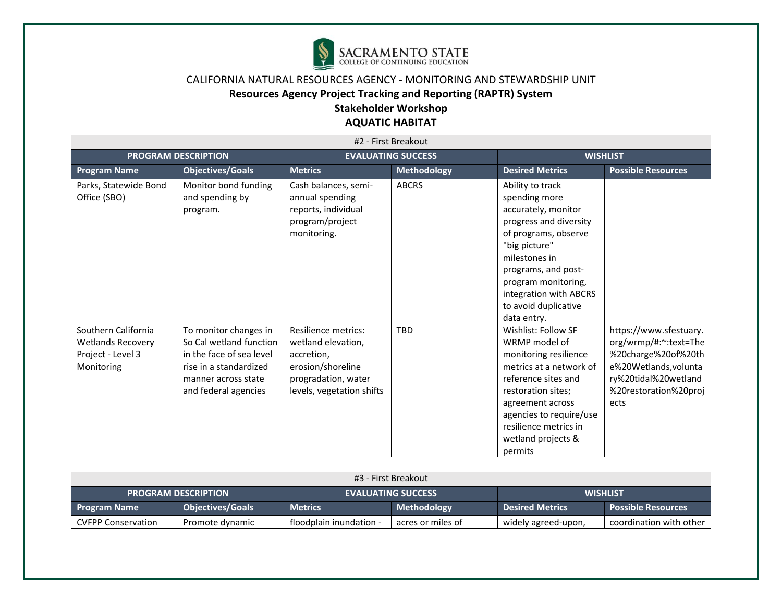

# **Resources Agency Project Tracking and Reporting (RAPTR) System**

# **Stakeholder Workshop**

| #2 - First Breakout                                                                |                                                                                                                                                       |                                                                                                                                         |                    |                                                                                                                                                                                                                                                             |                                                                                                                                                          |  |  |
|------------------------------------------------------------------------------------|-------------------------------------------------------------------------------------------------------------------------------------------------------|-----------------------------------------------------------------------------------------------------------------------------------------|--------------------|-------------------------------------------------------------------------------------------------------------------------------------------------------------------------------------------------------------------------------------------------------------|----------------------------------------------------------------------------------------------------------------------------------------------------------|--|--|
|                                                                                    | <b>PROGRAM DESCRIPTION</b>                                                                                                                            | <b>EVALUATING SUCCESS</b>                                                                                                               |                    | <b>WISHLIST</b>                                                                                                                                                                                                                                             |                                                                                                                                                          |  |  |
| <b>Program Name</b>                                                                | <b>Objectives/Goals</b>                                                                                                                               | <b>Metrics</b>                                                                                                                          | <b>Methodology</b> | <b>Desired Metrics</b>                                                                                                                                                                                                                                      | <b>Possible Resources</b>                                                                                                                                |  |  |
| Parks, Statewide Bond<br>Office (SBO)                                              | Monitor bond funding<br>and spending by<br>program.                                                                                                   | Cash balances, semi-<br>annual spending<br>reports, individual<br>program/project<br>monitoring.                                        | <b>ABCRS</b>       | Ability to track<br>spending more<br>accurately, monitor<br>progress and diversity<br>of programs, observe<br>"big picture"<br>milestones in<br>programs, and post-<br>program monitoring,<br>integration with ABCRS<br>to avoid duplicative<br>data entry. |                                                                                                                                                          |  |  |
| Southern California<br><b>Wetlands Recovery</b><br>Project - Level 3<br>Monitoring | To monitor changes in<br>So Cal wetland function<br>in the face of sea level<br>rise in a standardized<br>manner across state<br>and federal agencies | <b>Resilience metrics:</b><br>wetland elevation,<br>accretion,<br>erosion/shoreline<br>progradation, water<br>levels, vegetation shifts | <b>TBD</b>         | Wishlist: Follow SF<br>WRMP model of<br>monitoring resilience<br>metrics at a network of<br>reference sites and<br>restoration sites;<br>agreement across<br>agencies to require/use<br>resilience metrics in<br>wetland projects &<br>permits              | https://www.sfestuary.<br>org/wrmp/#:~:text=The<br>%20charge%20of%20th<br>e%20Wetlands, volunta<br>ry%20tidal%20wetland<br>%20restoration%20proj<br>ects |  |  |

| #3 - First Breakout        |                         |                         |                           |                        |                         |  |  |
|----------------------------|-------------------------|-------------------------|---------------------------|------------------------|-------------------------|--|--|
| <b>PROGRAM DESCRIPTION</b> |                         |                         | <b>EVALUATING SUCCESS</b> |                        | <b>WISHLIST</b>         |  |  |
| <b>Program Name</b>        | <b>Objectives/Goals</b> | <b>Metrics</b>          | Methodology               | <b>Desired Metrics</b> | Possible Resources      |  |  |
| <b>CVFPP Conservation</b>  | Promote dynamic         | floodplain inundation - | acres or miles of         | widely agreed-upon,    | coordination with other |  |  |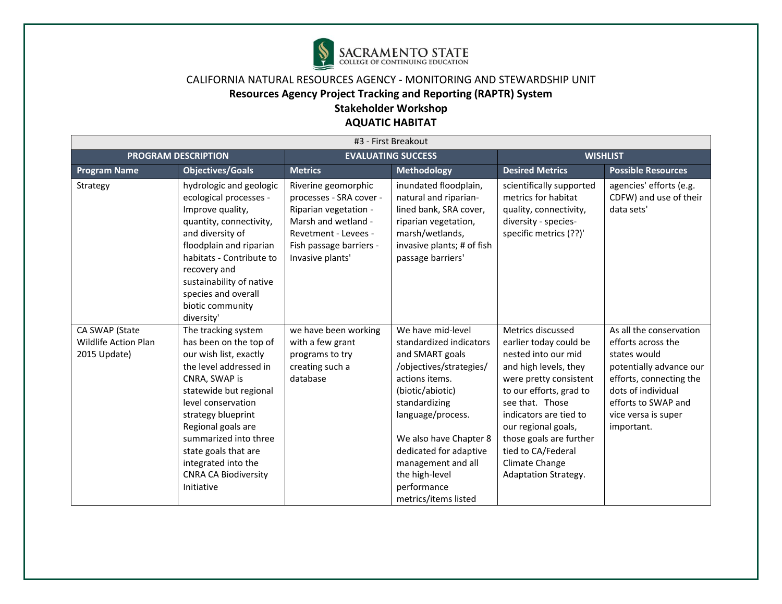

| #3 - First Breakout                                           |                                                                                                                                                                                                                                                                                                                                     |                                                                                                                                                                       |                                                                                                                                                                                                                                                                                                           |                                                                                                                                                                                                                                                                                                                        |                                                                                                                                                                                                       |  |  |
|---------------------------------------------------------------|-------------------------------------------------------------------------------------------------------------------------------------------------------------------------------------------------------------------------------------------------------------------------------------------------------------------------------------|-----------------------------------------------------------------------------------------------------------------------------------------------------------------------|-----------------------------------------------------------------------------------------------------------------------------------------------------------------------------------------------------------------------------------------------------------------------------------------------------------|------------------------------------------------------------------------------------------------------------------------------------------------------------------------------------------------------------------------------------------------------------------------------------------------------------------------|-------------------------------------------------------------------------------------------------------------------------------------------------------------------------------------------------------|--|--|
|                                                               | <b>PROGRAM DESCRIPTION</b>                                                                                                                                                                                                                                                                                                          | <b>EVALUATING SUCCESS</b>                                                                                                                                             |                                                                                                                                                                                                                                                                                                           |                                                                                                                                                                                                                                                                                                                        | <b>WISHLIST</b>                                                                                                                                                                                       |  |  |
| <b>Program Name</b>                                           | <b>Objectives/Goals</b>                                                                                                                                                                                                                                                                                                             | <b>Metrics</b>                                                                                                                                                        | <b>Methodology</b>                                                                                                                                                                                                                                                                                        | <b>Desired Metrics</b>                                                                                                                                                                                                                                                                                                 | <b>Possible Resources</b>                                                                                                                                                                             |  |  |
| Strategy                                                      | hydrologic and geologic<br>ecological processes -<br>Improve quality,<br>quantity, connectivity,<br>and diversity of<br>floodplain and riparian<br>habitats - Contribute to<br>recovery and<br>sustainability of native<br>species and overall<br>biotic community<br>diversity'                                                    | Riverine geomorphic<br>processes - SRA cover -<br>Riparian vegetation -<br>Marsh and wetland -<br>Revetment - Levees -<br>Fish passage barriers -<br>Invasive plants' | inundated floodplain,<br>natural and riparian-<br>lined bank, SRA cover,<br>riparian vegetation,<br>marsh/wetlands,<br>invasive plants; # of fish<br>passage barriers'                                                                                                                                    | scientifically supported<br>metrics for habitat<br>quality, connectivity,<br>diversity - species-<br>specific metrics (??)'                                                                                                                                                                                            | agencies' efforts (e.g.<br>CDFW) and use of their<br>data sets'                                                                                                                                       |  |  |
| CA SWAP (State<br><b>Wildlife Action Plan</b><br>2015 Update) | The tracking system<br>has been on the top of<br>our wish list, exactly<br>the level addressed in<br>CNRA, SWAP is<br>statewide but regional<br>level conservation<br>strategy blueprint<br>Regional goals are<br>summarized into three<br>state goals that are<br>integrated into the<br><b>CNRA CA Biodiversity</b><br>Initiative | we have been working<br>with a few grant<br>programs to try<br>creating such a<br>database                                                                            | We have mid-level<br>standardized indicators<br>and SMART goals<br>/objectives/strategies/<br>actions items.<br>(biotic/abiotic)<br>standardizing<br>language/process.<br>We also have Chapter 8<br>dedicated for adaptive<br>management and all<br>the high-level<br>performance<br>metrics/items listed | Metrics discussed<br>earlier today could be<br>nested into our mid<br>and high levels, they<br>were pretty consistent<br>to our efforts, grad to<br>see that. Those<br>indicators are tied to<br>our regional goals,<br>those goals are further<br>tied to CA/Federal<br>Climate Change<br><b>Adaptation Strategy.</b> | As all the conservation<br>efforts across the<br>states would<br>potentially advance our<br>efforts, connecting the<br>dots of individual<br>efforts to SWAP and<br>vice versa is super<br>important. |  |  |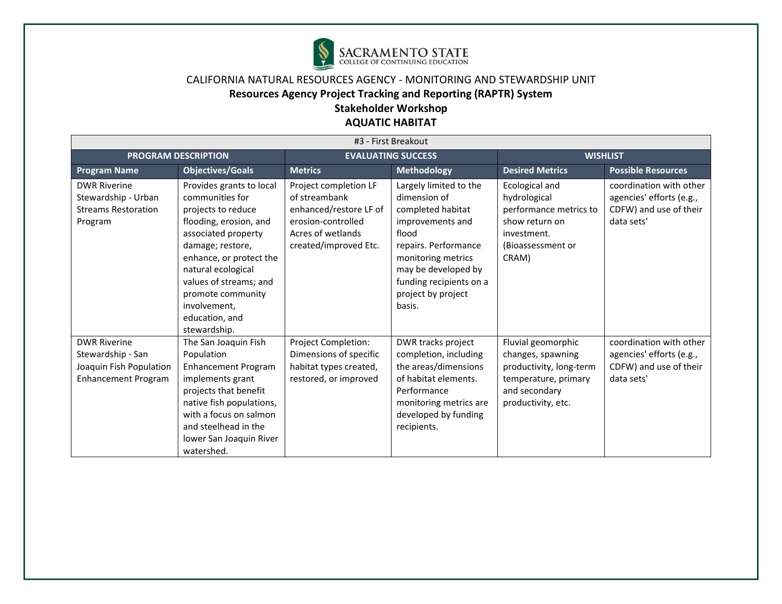

# **Resources Agency Project Tracking and Reporting (RAPTR) System**

# **Stakeholder Workshop**

| #3 - First Breakout                                                                               |                                                                                                                                                                                                                                                                                          |                                                                                                                                      |                                                                                                                                                                                                                          |                                                                                                                                   |                                                                                             |  |  |
|---------------------------------------------------------------------------------------------------|------------------------------------------------------------------------------------------------------------------------------------------------------------------------------------------------------------------------------------------------------------------------------------------|--------------------------------------------------------------------------------------------------------------------------------------|--------------------------------------------------------------------------------------------------------------------------------------------------------------------------------------------------------------------------|-----------------------------------------------------------------------------------------------------------------------------------|---------------------------------------------------------------------------------------------|--|--|
|                                                                                                   | <b>PROGRAM DESCRIPTION</b>                                                                                                                                                                                                                                                               | <b>EVALUATING SUCCESS</b>                                                                                                            |                                                                                                                                                                                                                          |                                                                                                                                   | <b>WISHLIST</b>                                                                             |  |  |
| <b>Program Name</b>                                                                               | <b>Objectives/Goals</b>                                                                                                                                                                                                                                                                  | <b>Metrics</b>                                                                                                                       | <b>Methodology</b>                                                                                                                                                                                                       | <b>Desired Metrics</b>                                                                                                            | <b>Possible Resources</b>                                                                   |  |  |
| <b>DWR Riverine</b><br>Stewardship - Urban<br><b>Streams Restoration</b><br>Program               | Provides grants to local<br>communities for<br>projects to reduce<br>flooding, erosion, and<br>associated property<br>damage; restore,<br>enhance, or protect the<br>natural ecological<br>values of streams; and<br>promote community<br>involvement.<br>education, and<br>stewardship. | Project completion LF<br>of streambank<br>enhanced/restore LF of<br>erosion-controlled<br>Acres of wetlands<br>created/improved Etc. | Largely limited to the<br>dimension of<br>completed habitat<br>improvements and<br>flood<br>repairs. Performance<br>monitoring metrics<br>may be developed by<br>funding recipients on a<br>project by project<br>basis. | Ecological and<br>hydrological<br>performance metrics to<br>show return on<br>investment.<br>(Bioassessment or<br>CRAM)           | coordination with other<br>agencies' efforts (e.g.,<br>CDFW) and use of their<br>data sets' |  |  |
| <b>DWR Riverine</b><br>Stewardship - San<br>Joaquin Fish Population<br><b>Enhancement Program</b> | The San Joaquin Fish<br>Population<br><b>Enhancement Program</b><br>implements grant<br>projects that benefit<br>native fish populations,<br>with a focus on salmon<br>and steelhead in the<br>lower San Joaquin River<br>watershed.                                                     | Project Completion:<br>Dimensions of specific<br>habitat types created,<br>restored, or improved                                     | DWR tracks project<br>completion, including<br>the areas/dimensions<br>of habitat elements.<br>Performance<br>monitoring metrics are<br>developed by funding<br>recipients.                                              | Fluvial geomorphic<br>changes, spawning<br>productivity, long-term<br>temperature, primary<br>and secondary<br>productivity, etc. | coordination with other<br>agencies' efforts (e.g.,<br>CDFW) and use of their<br>data sets' |  |  |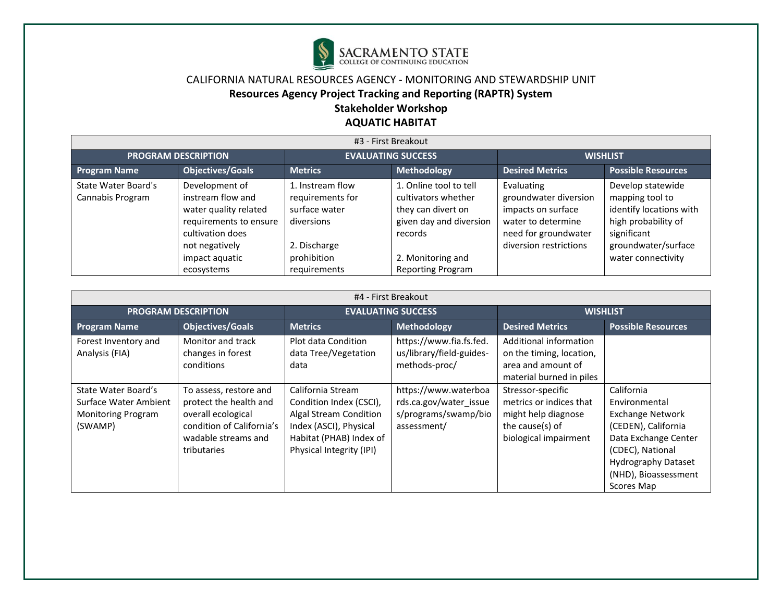

# **Resources Agency Project Tracking and Reporting (RAPTR) System**

# **Stakeholder Workshop**

| #3 - First Breakout                            |                                                                                                                                                              |                                                                                                                    |                                                                                                                                                            |                                                                                                                                   |                                                                                                                                                    |  |  |  |
|------------------------------------------------|--------------------------------------------------------------------------------------------------------------------------------------------------------------|--------------------------------------------------------------------------------------------------------------------|------------------------------------------------------------------------------------------------------------------------------------------------------------|-----------------------------------------------------------------------------------------------------------------------------------|----------------------------------------------------------------------------------------------------------------------------------------------------|--|--|--|
| <b>PROGRAM DESCRIPTION</b>                     |                                                                                                                                                              | <b>EVALUATING SUCCESS</b>                                                                                          |                                                                                                                                                            | <b>WISHLIST</b>                                                                                                                   |                                                                                                                                                    |  |  |  |
| <b>Program Name</b>                            | <b>Objectives/Goals</b>                                                                                                                                      | Methodology<br><b>Metrics</b>                                                                                      |                                                                                                                                                            | <b>Desired Metrics</b>                                                                                                            | <b>Possible Resources</b>                                                                                                                          |  |  |  |
| <b>State Water Board's</b><br>Cannabis Program | Development of<br>instream flow and<br>water quality related<br>requirements to ensure<br>cultivation does<br>not negatively<br>impact aquatic<br>ecosystems | 1. Instream flow<br>requirements for<br>surface water<br>diversions<br>2. Discharge<br>prohibition<br>requirements | 1. Online tool to tell<br>cultivators whether<br>they can divert on<br>given day and diversion<br>records<br>2. Monitoring and<br><b>Reporting Program</b> | Evaluating<br>groundwater diversion<br>impacts on surface<br>water to determine<br>need for groundwater<br>diversion restrictions | Develop statewide<br>mapping tool to<br>identify locations with<br>high probability of<br>significant<br>groundwater/surface<br>water connectivity |  |  |  |

| #4 - First Breakout                                                                  |                                                                                                                                           |                                                                                                                                                         |                                                                                       |                                                                                                                 |                                                                                                                                                                                               |  |  |
|--------------------------------------------------------------------------------------|-------------------------------------------------------------------------------------------------------------------------------------------|---------------------------------------------------------------------------------------------------------------------------------------------------------|---------------------------------------------------------------------------------------|-----------------------------------------------------------------------------------------------------------------|-----------------------------------------------------------------------------------------------------------------------------------------------------------------------------------------------|--|--|
| <b>PROGRAM DESCRIPTION</b>                                                           |                                                                                                                                           |                                                                                                                                                         | <b>EVALUATING SUCCESS</b>                                                             | <b>WISHLIST</b>                                                                                                 |                                                                                                                                                                                               |  |  |
| <b>Program Name</b>                                                                  | <b>Objectives/Goals</b>                                                                                                                   | <b>Metrics</b>                                                                                                                                          | Methodology                                                                           | <b>Desired Metrics</b>                                                                                          | <b>Possible Resources</b>                                                                                                                                                                     |  |  |
| Forest Inventory and<br>Analysis (FIA)                                               | Monitor and track<br>changes in forest<br>conditions                                                                                      | Plot data Condition<br>data Tree/Vegetation<br>data                                                                                                     | https://www.fia.fs.fed.<br>us/library/field-guides-<br>methods-proc/                  | Additional information<br>on the timing, location,<br>area and amount of<br>material burned in piles            |                                                                                                                                                                                               |  |  |
| State Water Board's<br>Surface Water Ambient<br><b>Monitoring Program</b><br>(SWAMP) | To assess, restore and<br>protect the health and<br>overall ecological<br>condition of California's<br>wadable streams and<br>tributaries | California Stream<br>Condition Index (CSCI),<br>Algal Stream Condition<br>Index (ASCI), Physical<br>Habitat (PHAB) Index of<br>Physical Integrity (IPI) | https://www.waterboa<br>rds.ca.gov/water issue<br>s/programs/swamp/bio<br>assessment/ | Stressor-specific<br>metrics or indices that<br>might help diagnose<br>the cause(s) of<br>biological impairment | California<br>Environmental<br><b>Exchange Network</b><br>(CEDEN), California<br>Data Exchange Center<br>(CDEC), National<br><b>Hydrography Dataset</b><br>(NHD), Bioassessment<br>Scores Map |  |  |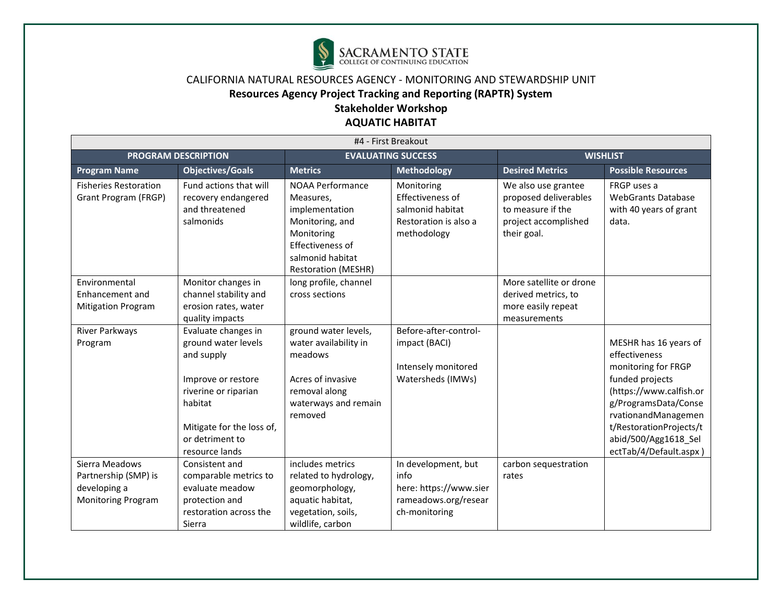

# **Resources Agency Project Tracking and Reporting (RAPTR) System**

# **Stakeholder Workshop**

| #4 - First Breakout                                                                 |                                                                                                                                                                                     |                                                                                                                                                               |                                                                                                |                                                                                                          |                                                                                                                                                                                                                                         |  |  |
|-------------------------------------------------------------------------------------|-------------------------------------------------------------------------------------------------------------------------------------------------------------------------------------|---------------------------------------------------------------------------------------------------------------------------------------------------------------|------------------------------------------------------------------------------------------------|----------------------------------------------------------------------------------------------------------|-----------------------------------------------------------------------------------------------------------------------------------------------------------------------------------------------------------------------------------------|--|--|
|                                                                                     | <b>PROGRAM DESCRIPTION</b>                                                                                                                                                          | <b>EVALUATING SUCCESS</b>                                                                                                                                     |                                                                                                | <b>WISHLIST</b>                                                                                          |                                                                                                                                                                                                                                         |  |  |
| <b>Program Name</b>                                                                 | <b>Objectives/Goals</b>                                                                                                                                                             | <b>Metrics</b>                                                                                                                                                | <b>Methodology</b>                                                                             | <b>Desired Metrics</b>                                                                                   | <b>Possible Resources</b>                                                                                                                                                                                                               |  |  |
| <b>Fisheries Restoration</b><br>Grant Program (FRGP)                                | Fund actions that will<br>recovery endangered<br>and threatened<br>salmonids                                                                                                        | <b>NOAA Performance</b><br>Measures,<br>implementation<br>Monitoring, and<br>Monitoring<br>Effectiveness of<br>salmonid habitat<br><b>Restoration (MESHR)</b> | Monitoring<br>Effectiveness of<br>salmonid habitat<br>Restoration is also a<br>methodology     | We also use grantee<br>proposed deliverables<br>to measure if the<br>project accomplished<br>their goal. | FRGP uses a<br><b>WebGrants Database</b><br>with 40 years of grant<br>data.                                                                                                                                                             |  |  |
| Environmental<br>Enhancement and<br><b>Mitigation Program</b>                       | Monitor changes in<br>channel stability and<br>erosion rates, water<br>quality impacts                                                                                              | long profile, channel<br>cross sections                                                                                                                       |                                                                                                | More satellite or drone<br>derived metrics, to<br>more easily repeat<br>measurements                     |                                                                                                                                                                                                                                         |  |  |
| River Parkways<br>Program                                                           | Evaluate changes in<br>ground water levels<br>and supply<br>Improve or restore<br>riverine or riparian<br>habitat<br>Mitigate for the loss of,<br>or detriment to<br>resource lands | ground water levels,<br>water availability in<br>meadows<br>Acres of invasive<br>removal along<br>waterways and remain<br>removed                             | Before-after-control-<br>impact (BACI)<br>Intensely monitored<br>Watersheds (IMWs)             |                                                                                                          | MESHR has 16 years of<br>effectiveness<br>monitoring for FRGP<br>funded projects<br>(https://www.calfish.or<br>g/ProgramsData/Conse<br>rvationandManagemen<br>t/RestorationProjects/t<br>abid/500/Agg1618_Sel<br>ectTab/4/Default.aspx) |  |  |
| Sierra Meadows<br>Partnership (SMP) is<br>developing a<br><b>Monitoring Program</b> | Consistent and<br>comparable metrics to<br>evaluate meadow<br>protection and<br>restoration across the<br>Sierra                                                                    | includes metrics<br>related to hydrology,<br>geomorphology,<br>aquatic habitat,<br>vegetation, soils,<br>wildlife, carbon                                     | In development, but<br>info<br>here: https://www.sier<br>rameadows.org/resear<br>ch-monitoring | carbon sequestration<br>rates                                                                            |                                                                                                                                                                                                                                         |  |  |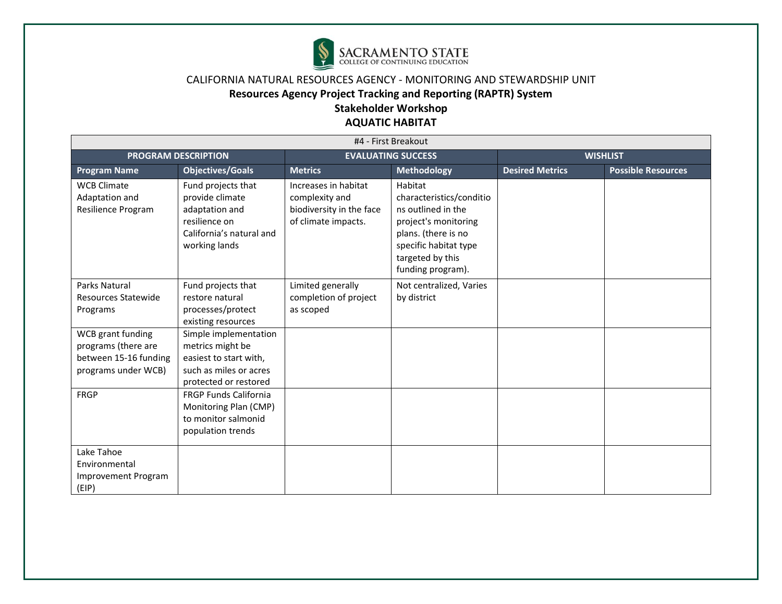

### **Resources Agency Project Tracking and Reporting (RAPTR) System**

# **Stakeholder Workshop**

| #4 - First Breakout                                                                      |                                                                                                                        |                                                                                           |                                                                                                                                                                            |                        |                           |
|------------------------------------------------------------------------------------------|------------------------------------------------------------------------------------------------------------------------|-------------------------------------------------------------------------------------------|----------------------------------------------------------------------------------------------------------------------------------------------------------------------------|------------------------|---------------------------|
| <b>PROGRAM DESCRIPTION</b>                                                               |                                                                                                                        | <b>EVALUATING SUCCESS</b>                                                                 |                                                                                                                                                                            | <b>WISHLIST</b>        |                           |
| <b>Program Name</b>                                                                      | <b>Objectives/Goals</b>                                                                                                | <b>Metrics</b>                                                                            | <b>Methodology</b>                                                                                                                                                         | <b>Desired Metrics</b> | <b>Possible Resources</b> |
| <b>WCB Climate</b><br>Adaptation and<br>Resilience Program                               | Fund projects that<br>provide climate<br>adaptation and<br>resilience on<br>California's natural and<br>working lands  | Increases in habitat<br>complexity and<br>biodiversity in the face<br>of climate impacts. | Habitat<br>characteristics/conditio<br>ns outlined in the<br>project's monitoring<br>plans. (there is no<br>specific habitat type<br>targeted by this<br>funding program). |                        |                           |
| Parks Natural<br><b>Resources Statewide</b><br>Programs                                  | Fund projects that<br>restore natural<br>processes/protect<br>existing resources                                       | Limited generally<br>completion of project<br>as scoped                                   | Not centralized, Varies<br>by district                                                                                                                                     |                        |                           |
| WCB grant funding<br>programs (there are<br>between 15-16 funding<br>programs under WCB) | Simple implementation<br>metrics might be<br>easiest to start with,<br>such as miles or acres<br>protected or restored |                                                                                           |                                                                                                                                                                            |                        |                           |
| <b>FRGP</b>                                                                              | <b>FRGP Funds California</b><br>Monitoring Plan (CMP)<br>to monitor salmonid<br>population trends                      |                                                                                           |                                                                                                                                                                            |                        |                           |
| Lake Tahoe<br>Environmental<br><b>Improvement Program</b><br>(EIP)                       |                                                                                                                        |                                                                                           |                                                                                                                                                                            |                        |                           |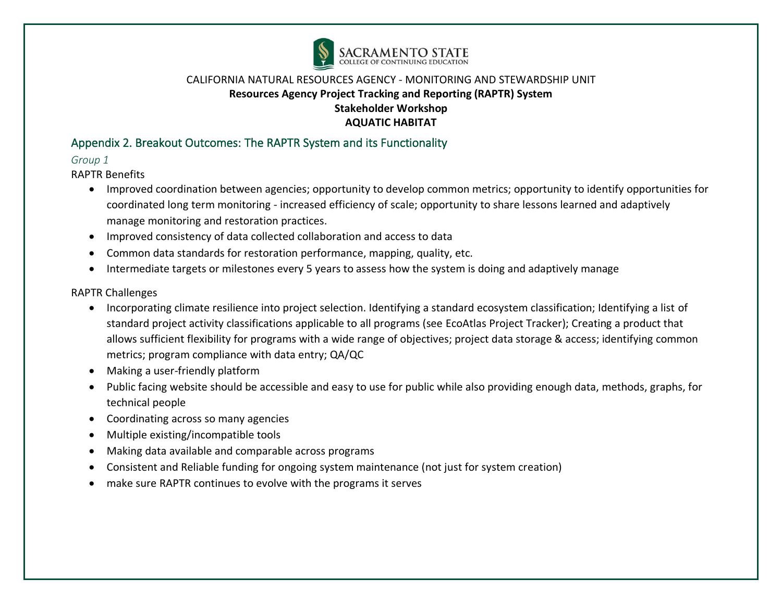

# Appendix 2. Breakout Outcomes: The RAPTR System and its Functionality

### *Group 1*

RAPTR Benefits

- Improved coordination between agencies; opportunity to develop common metrics; opportunity to identify opportunities for coordinated long term monitoring - increased efficiency of scale; opportunity to share lessons learned and adaptively manage monitoring and restoration practices.
- Improved consistency of data collected collaboration and access to data
- Common data standards for restoration performance, mapping, quality, etc.
- Intermediate targets or milestones every 5 years to assess how the system is doing and adaptively manage

### RAPTR Challenges

- Incorporating climate resilience into project selection. Identifying a standard ecosystem classification; Identifying a list of standard project activity classifications applicable to all programs (see EcoAtlas Project Tracker); Creating a product that allows sufficient flexibility for programs with a wide range of objectives; project data storage & access; identifying common metrics; program compliance with data entry; QA/QC
- Making a user-friendly platform
- Public facing website should be accessible and easy to use for public while also providing enough data, methods, graphs, for technical people
- Coordinating across so many agencies
- Multiple existing/incompatible tools
- Making data available and comparable across programs
- Consistent and Reliable funding for ongoing system maintenance (not just for system creation)
- make sure RAPTR continues to evolve with the programs it serves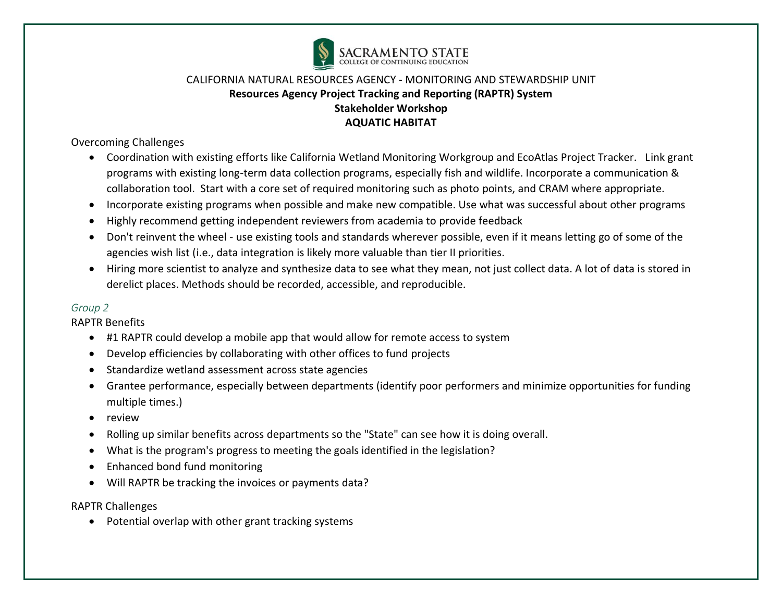

Overcoming Challenges

- Coordination with existing efforts like California Wetland Monitoring Workgroup and EcoAtlas Project Tracker. Link grant programs with existing long-term data collection programs, especially fish and wildlife. Incorporate a communication & collaboration tool. Start with a core set of required monitoring such as photo points, and CRAM where appropriate.
- Incorporate existing programs when possible and make new compatible. Use what was successful about other programs
- Highly recommend getting independent reviewers from academia to provide feedback
- Don't reinvent the wheel use existing tools and standards wherever possible, even if it means letting go of some of the agencies wish list (i.e., data integration is likely more valuable than tier II priorities.
- Hiring more scientist to analyze and synthesize data to see what they mean, not just collect data. A lot of data is stored in derelict places. Methods should be recorded, accessible, and reproducible.

#### *Group 2*

RAPTR Benefits

- #1 RAPTR could develop a mobile app that would allow for remote access to system
- Develop efficiencies by collaborating with other offices to fund projects
- Standardize wetland assessment across state agencies
- Grantee performance, especially between departments (identify poor performers and minimize opportunities for funding multiple times.)
- review
- Rolling up similar benefits across departments so the "State" can see how it is doing overall.
- What is the program's progress to meeting the goals identified in the legislation?
- Enhanced bond fund monitoring
- Will RAPTR be tracking the invoices or payments data?

RAPTR Challenges

• Potential overlap with other grant tracking systems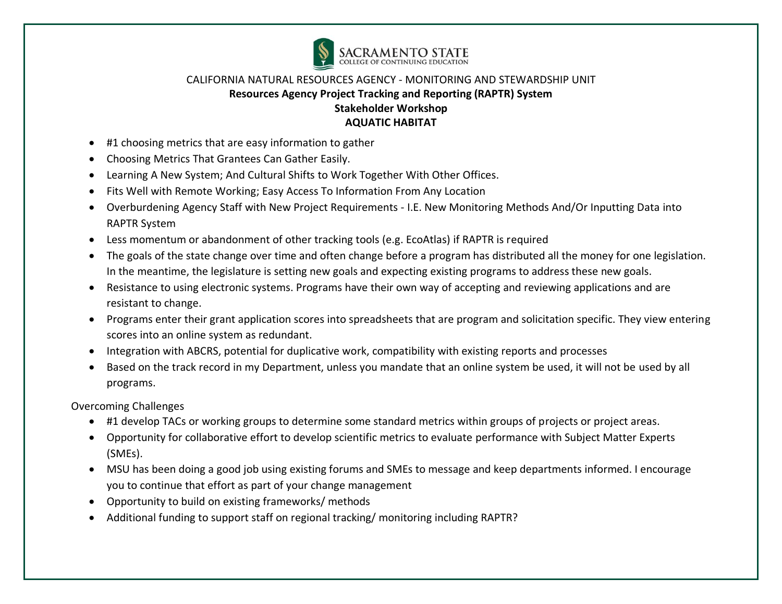

- #1 choosing metrics that are easy information to gather
- Choosing Metrics That Grantees Can Gather Easily.
- Learning A New System; And Cultural Shifts to Work Together With Other Offices.
- Fits Well with Remote Working; Easy Access To Information From Any Location
- Overburdening Agency Staff with New Project Requirements I.E. New Monitoring Methods And/Or Inputting Data into RAPTR System
- Less momentum or abandonment of other tracking tools (e.g. EcoAtlas) if RAPTR is required
- The goals of the state change over time and often change before a program has distributed all the money for one legislation. In the meantime, the legislature is setting new goals and expecting existing programs to address these new goals.
- Resistance to using electronic systems. Programs have their own way of accepting and reviewing applications and are resistant to change.
- Programs enter their grant application scores into spreadsheets that are program and solicitation specific. They view entering scores into an online system as redundant.
- Integration with ABCRS, potential for duplicative work, compatibility with existing reports and processes
- Based on the track record in my Department, unless you mandate that an online system be used, it will not be used by all programs.

Overcoming Challenges

- #1 develop TACs or working groups to determine some standard metrics within groups of projects or project areas.
- Opportunity for collaborative effort to develop scientific metrics to evaluate performance with Subject Matter Experts (SMEs).
- MSU has been doing a good job using existing forums and SMEs to message and keep departments informed. I encourage you to continue that effort as part of your change management
- Opportunity to build on existing frameworks/ methods
- Additional funding to support staff on regional tracking/ monitoring including RAPTR?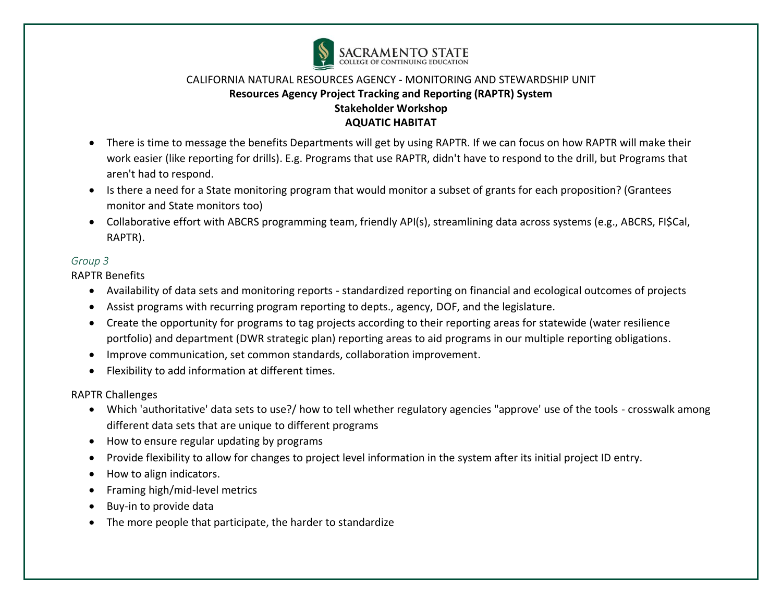

- There is time to message the benefits Departments will get by using RAPTR. If we can focus on how RAPTR will make their work easier (like reporting for drills). E.g. Programs that use RAPTR, didn't have to respond to the drill, but Programs that aren't had to respond.
- Is there a need for a State monitoring program that would monitor a subset of grants for each proposition? (Grantees monitor and State monitors too)
- Collaborative effort with ABCRS programming team, friendly API(s), streamlining data across systems (e.g., ABCRS, FI\$Cal, RAPTR).

#### *Group 3*

RAPTR Benefits

- Availability of data sets and monitoring reports standardized reporting on financial and ecological outcomes of projects
- Assist programs with recurring program reporting to depts., agency, DOF, and the legislature.
- Create the opportunity for programs to tag projects according to their reporting areas for statewide (water resilience portfolio) and department (DWR strategic plan) reporting areas to aid programs in our multiple reporting obligations.
- Improve communication, set common standards, collaboration improvement.
- Flexibility to add information at different times.

RAPTR Challenges

- Which 'authoritative' data sets to use?/ how to tell whether regulatory agencies "approve' use of the tools crosswalk among different data sets that are unique to different programs
- How to ensure regular updating by programs
- Provide flexibility to allow for changes to project level information in the system after its initial project ID entry.
- How to align indicators.
- Framing high/mid-level metrics
- Buy-in to provide data
- The more people that participate, the harder to standardize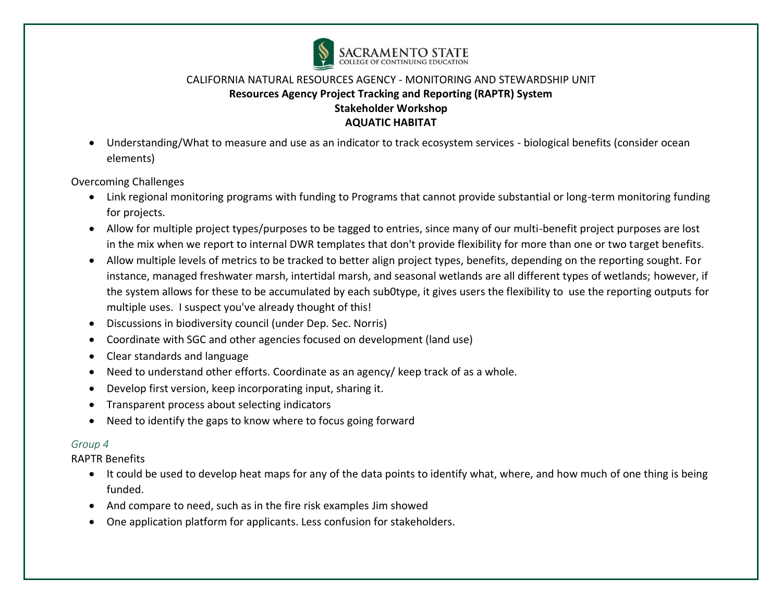

• Understanding/What to measure and use as an indicator to track ecosystem services - biological benefits (consider ocean elements)

Overcoming Challenges

- Link regional monitoring programs with funding to Programs that cannot provide substantial or long-term monitoring funding for projects.
- Allow for multiple project types/purposes to be tagged to entries, since many of our multi-benefit project purposes are lost in the mix when we report to internal DWR templates that don't provide flexibility for more than one or two target benefits.
- Allow multiple levels of metrics to be tracked to better align project types, benefits, depending on the reporting sought. For instance, managed freshwater marsh, intertidal marsh, and seasonal wetlands are all different types of wetlands; however, if the system allows for these to be accumulated by each sub0type, it gives users the flexibility to use the reporting outputs for multiple uses. I suspect you've already thought of this!
- Discussions in biodiversity council (under Dep. Sec. Norris)
- Coordinate with SGC and other agencies focused on development (land use)
- Clear standards and language
- Need to understand other efforts. Coordinate as an agency/ keep track of as a whole.
- Develop first version, keep incorporating input, sharing it.
- Transparent process about selecting indicators
- Need to identify the gaps to know where to focus going forward

### *Group 4*

RAPTR Benefits

- It could be used to develop heat maps for any of the data points to identify what, where, and how much of one thing is being funded.
- And compare to need, such as in the fire risk examples Jim showed
- One application platform for applicants. Less confusion for stakeholders.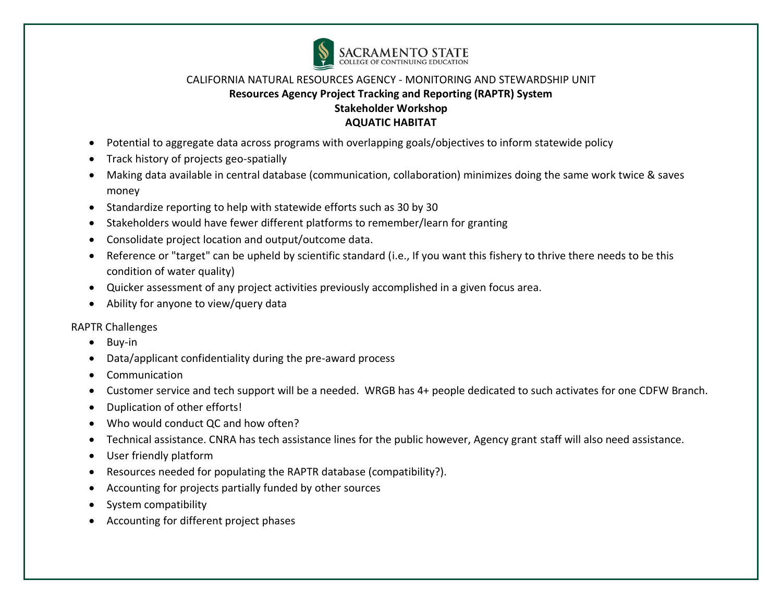

- Potential to aggregate data across programs with overlapping goals/objectives to inform statewide policy
- Track history of projects geo-spatially
- Making data available in central database (communication, collaboration) minimizes doing the same work twice & saves money
- Standardize reporting to help with statewide efforts such as 30 by 30
- Stakeholders would have fewer different platforms to remember/learn for granting
- Consolidate project location and output/outcome data.
- Reference or "target" can be upheld by scientific standard (i.e., If you want this fishery to thrive there needs to be this condition of water quality)
- Quicker assessment of any project activities previously accomplished in a given focus area.
- Ability for anyone to view/query data

RAPTR Challenges

- Buy-in
- Data/applicant confidentiality during the pre-award process
- Communication
- Customer service and tech support will be a needed. WRGB has 4+ people dedicated to such activates for one CDFW Branch.
- Duplication of other efforts!
- Who would conduct QC and how often?
- Technical assistance. CNRA has tech assistance lines for the public however, Agency grant staff will also need assistance.
- User friendly platform
- Resources needed for populating the RAPTR database (compatibility?).
- Accounting for projects partially funded by other sources
- System compatibility
- Accounting for different project phases